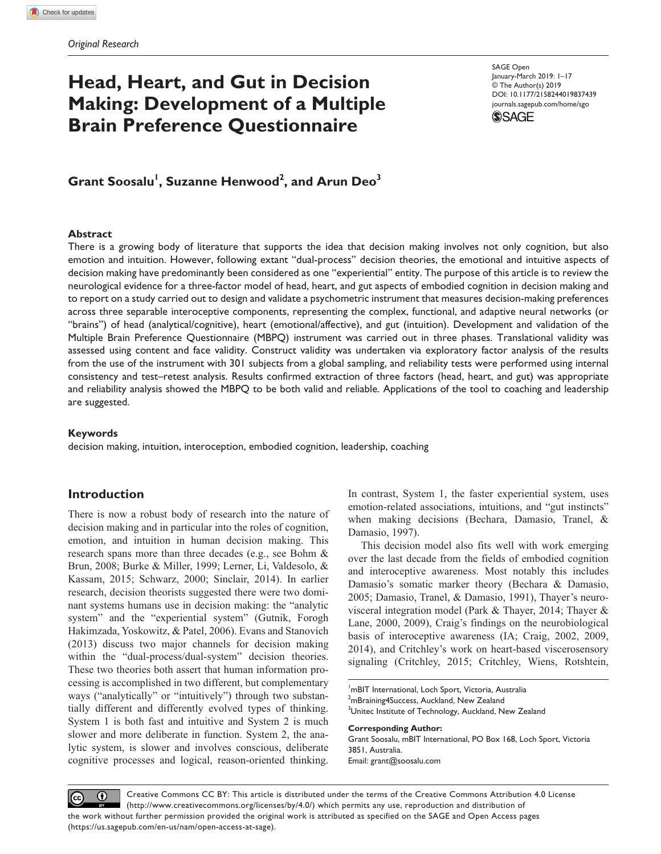# **Head, Heart, and Gut in Decision Making: Development of a Multiple Brain Preference Questionnaire**

DOI: 10.1177/2158244019837439 SAGE Open January-March 2019: 1–17 © The Author(s) 2019 [journals.sagepub.com/home/sgo](https://journals.sagepub.com/home/sgo)



 $\mathsf{Grant}\ \mathsf{Soosalu}^{\mathsf{I}},\ \mathsf{Suzanne}\ \mathsf{Henvood}^{\mathsf{2}},\ \mathsf{and}\ \mathsf{Arun}\ \mathsf{Deo}^{\mathsf{3}}$ 

#### **Abstract**

There is a growing body of literature that supports the idea that decision making involves not only cognition, but also emotion and intuition. However, following extant "dual-process" decision theories, the emotional and intuitive aspects of decision making have predominantly been considered as one "experiential" entity. The purpose of this article is to review the neurological evidence for a three-factor model of head, heart, and gut aspects of embodied cognition in decision making and to report on a study carried out to design and validate a psychometric instrument that measures decision-making preferences across three separable interoceptive components, representing the complex, functional, and adaptive neural networks (or "brains") of head (analytical/cognitive), heart (emotional/affective), and gut (intuition). Development and validation of the Multiple Brain Preference Questionnaire (MBPQ) instrument was carried out in three phases. Translational validity was assessed using content and face validity. Construct validity was undertaken via exploratory factor analysis of the results from the use of the instrument with 301 subjects from a global sampling, and reliability tests were performed using internal consistency and test–retest analysis. Results confirmed extraction of three factors (head, heart, and gut) was appropriate and reliability analysis showed the MBPQ to be both valid and reliable. Applications of the tool to coaching and leadership are suggested.

#### **Keywords**

decision making, intuition, interoception, embodied cognition, leadership, coaching

## **Introduction**

There is now a robust body of research into the nature of decision making and in particular into the roles of cognition, emotion, and intuition in human decision making. This research spans more than three decades (e.g., see Bohm & Brun, 2008; Burke & Miller, 1999; Lerner, Li, Valdesolo, & Kassam, 2015; Schwarz, 2000; Sinclair, 2014). In earlier research, decision theorists suggested there were two dominant systems humans use in decision making: the "analytic system" and the "experiential system" (Gutnik, Forogh Hakimzada, Yoskowitz, & Patel, 2006). Evans and Stanovich (2013) discuss two major channels for decision making within the "dual-process/dual-system" decision theories. These two theories both assert that human information processing is accomplished in two different, but complementary ways ("analytically" or "intuitively") through two substantially different and differently evolved types of thinking. System 1 is both fast and intuitive and System 2 is much slower and more deliberate in function. System 2, the analytic system, is slower and involves conscious, deliberate cognitive processes and logical, reason-oriented thinking.

In contrast, System 1, the faster experiential system, uses emotion-related associations, intuitions, and "gut instincts" when making decisions (Bechara, Damasio, Tranel, & Damasio, 1997).

This decision model also fits well with work emerging over the last decade from the fields of embodied cognition and interoceptive awareness. Most notably this includes Damasio's somatic marker theory (Bechara & Damasio, 2005; Damasio, Tranel, & Damasio, 1991), Thayer's neurovisceral integration model (Park & Thayer, 2014; Thayer & Lane, 2000, 2009), Craig's findings on the neurobiological basis of interoceptive awareness (IA; Craig, 2002, 2009, 2014), and Critchley's work on heart-based viscerosensory signaling (Critchley, 2015; Critchley, Wiens, Rotshtein,

1 mBIT International, Loch Sport, Victoria, Australia  $^{2}$ mBraining $4$ Success, Auckland, New Zealand  $^3$ Unitec Institute of Technology, Auckland, New Zealand

**Corresponding Author:** Grant Soosalu, mBIT International, PO Box 168, Loch Sport, Victoria 3851, Australia. Email: [grant@soosalu.com](mailto:grant@soosalu.com)

Creative Commons CC BY: This article is distributed under the terms of the Creative Commons Attribution 4.0 License  $\odot$  $\left(\mathrm{cc}\right)$ (http://www.creativecommons.org/licenses/by/4.0/) which permits any use, reproduction and distribution of the work without further permission provided the original work is attributed as specified on the SAGE and Open Access pages (https://us.sagepub.com/en-us/nam/open-access-at-sage).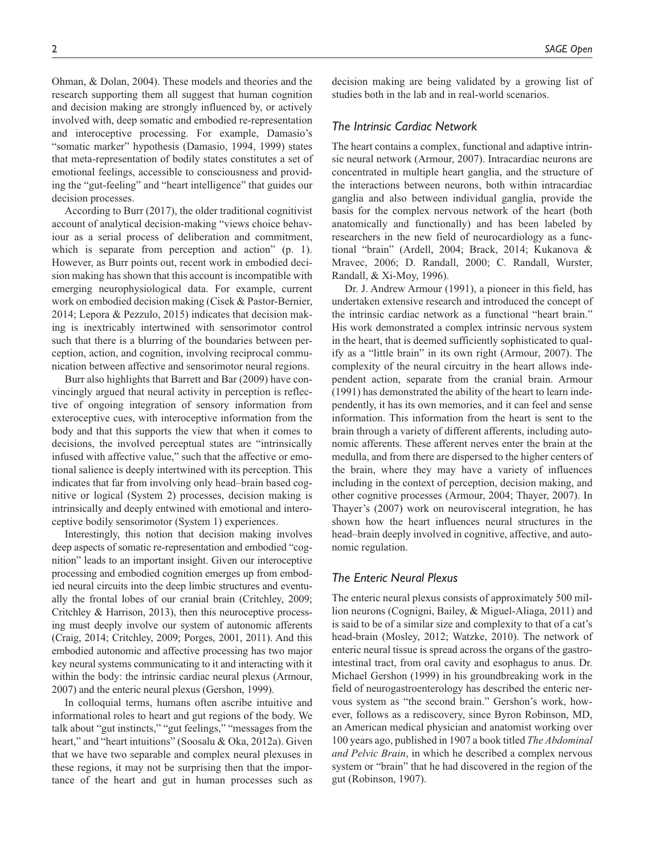Ohman, & Dolan, 2004). These models and theories and the research supporting them all suggest that human cognition and decision making are strongly influenced by, or actively involved with, deep somatic and embodied re-representation and interoceptive processing. For example, Damasio's "somatic marker" hypothesis (Damasio, 1994, 1999) states that meta-representation of bodily states constitutes a set of emotional feelings, accessible to consciousness and providing the "gut-feeling" and "heart intelligence" that guides our decision processes.

According to Burr (2017), the older traditional cognitivist account of analytical decision-making "views choice behaviour as a serial process of deliberation and commitment, which is separate from perception and action" (p. 1). However, as Burr points out, recent work in embodied decision making has shown that this account is incompatible with emerging neurophysiological data. For example, current work on embodied decision making (Cisek & Pastor-Bernier, 2014; Lepora & Pezzulo, 2015) indicates that decision making is inextricably intertwined with sensorimotor control such that there is a blurring of the boundaries between perception, action, and cognition, involving reciprocal communication between affective and sensorimotor neural regions.

Burr also highlights that Barrett and Bar (2009) have convincingly argued that neural activity in perception is reflective of ongoing integration of sensory information from exteroceptive cues, with interoceptive information from the body and that this supports the view that when it comes to decisions, the involved perceptual states are "intrinsically infused with affective value," such that the affective or emotional salience is deeply intertwined with its perception. This indicates that far from involving only head–brain based cognitive or logical (System 2) processes, decision making is intrinsically and deeply entwined with emotional and interoceptive bodily sensorimotor (System 1) experiences.

Interestingly, this notion that decision making involves deep aspects of somatic re-representation and embodied "cognition" leads to an important insight. Given our interoceptive processing and embodied cognition emerges up from embodied neural circuits into the deep limbic structures and eventually the frontal lobes of our cranial brain (Critchley, 2009; Critchley & Harrison, 2013), then this neuroceptive processing must deeply involve our system of autonomic afferents (Craig, 2014; Critchley, 2009; Porges, 2001, 2011). And this embodied autonomic and affective processing has two major key neural systems communicating to it and interacting with it within the body: the intrinsic cardiac neural plexus (Armour, 2007) and the enteric neural plexus (Gershon, 1999).

In colloquial terms, humans often ascribe intuitive and informational roles to heart and gut regions of the body. We talk about "gut instincts," "gut feelings," "messages from the heart," and "heart intuitions" (Soosalu & Oka, 2012a). Given that we have two separable and complex neural plexuses in these regions, it may not be surprising then that the importance of the heart and gut in human processes such as decision making are being validated by a growing list of studies both in the lab and in real-world scenarios.

## *The Intrinsic Cardiac Network*

The heart contains a complex, functional and adaptive intrinsic neural network (Armour, 2007). Intracardiac neurons are concentrated in multiple heart ganglia, and the structure of the interactions between neurons, both within intracardiac ganglia and also between individual ganglia, provide the basis for the complex nervous network of the heart (both anatomically and functionally) and has been labeled by researchers in the new field of neurocardiology as a functional "brain" (Ardell, 2004; Brack, 2014; Kukanova & Mravec, 2006; D. Randall, 2000; C. Randall, Wurster, Randall, & Xi-Moy, 1996).

Dr. J. Andrew Armour (1991), a pioneer in this field, has undertaken extensive research and introduced the concept of the intrinsic cardiac network as a functional "heart brain." His work demonstrated a complex intrinsic nervous system in the heart, that is deemed sufficiently sophisticated to qualify as a "little brain" in its own right (Armour, 2007). The complexity of the neural circuitry in the heart allows independent action, separate from the cranial brain. Armour (1991) has demonstrated the ability of the heart to learn independently, it has its own memories, and it can feel and sense information. This information from the heart is sent to the brain through a variety of different afferents, including autonomic afferents. These afferent nerves enter the brain at the medulla, and from there are dispersed to the higher centers of the brain, where they may have a variety of influences including in the context of perception, decision making, and other cognitive processes (Armour, 2004; Thayer, 2007). In Thayer's (2007) work on neurovisceral integration, he has shown how the heart influences neural structures in the head–brain deeply involved in cognitive, affective, and autonomic regulation.

#### *The Enteric Neural Plexus*

The enteric neural plexus consists of approximately 500 million neurons (Cognigni, Bailey, & Miguel-Aliaga, 2011) and is said to be of a similar size and complexity to that of a cat's head-brain (Mosley, 2012; Watzke, 2010). The network of enteric neural tissue is spread across the organs of the gastrointestinal tract, from oral cavity and esophagus to anus. Dr. Michael Gershon (1999) in his groundbreaking work in the field of neurogastroenterology has described the enteric nervous system as "the second brain." Gershon's work, however, follows as a rediscovery, since Byron Robinson, MD, an American medical physician and anatomist working over 100 years ago, published in 1907 a book titled *The Abdominal and Pelvic Brain*, in which he described a complex nervous system or "brain" that he had discovered in the region of the gut (Robinson, 1907).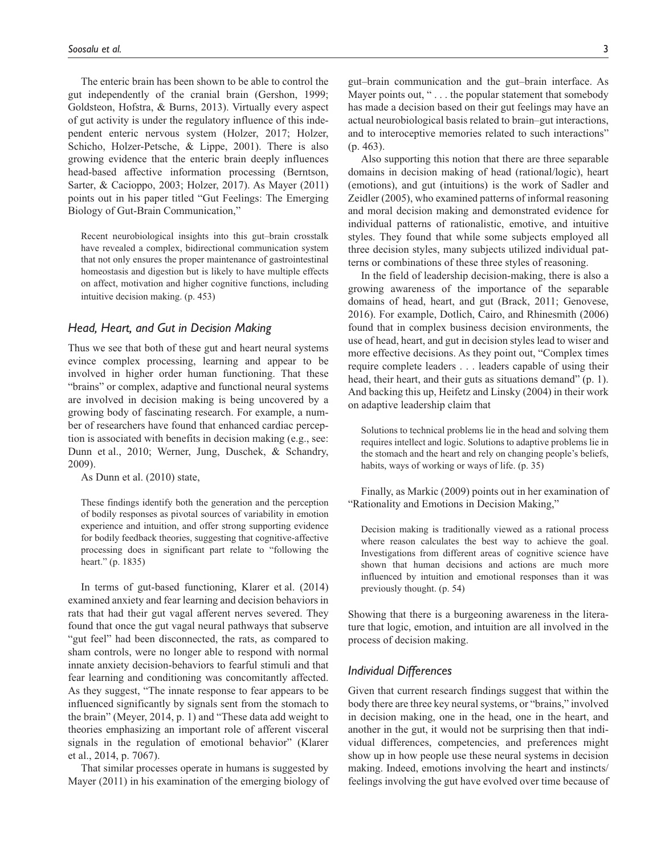The enteric brain has been shown to be able to control the gut independently of the cranial brain (Gershon, 1999; Goldsteon, Hofstra, & Burns, 2013). Virtually every aspect of gut activity is under the regulatory influence of this independent enteric nervous system (Holzer, 2017; Holzer, Schicho, Holzer-Petsche, & Lippe, 2001). There is also growing evidence that the enteric brain deeply influences head-based affective information processing (Berntson, Sarter, & Cacioppo, 2003; Holzer, 2017). As Mayer (2011) points out in his paper titled "Gut Feelings: The Emerging Biology of Gut-Brain Communication,"

Recent neurobiological insights into this gut–brain crosstalk have revealed a complex, bidirectional communication system that not only ensures the proper maintenance of gastrointestinal homeostasis and digestion but is likely to have multiple effects on affect, motivation and higher cognitive functions, including intuitive decision making. (p. 453)

## *Head, Heart, and Gut in Decision Making*

Thus we see that both of these gut and heart neural systems evince complex processing, learning and appear to be involved in higher order human functioning. That these "brains" or complex, adaptive and functional neural systems are involved in decision making is being uncovered by a growing body of fascinating research. For example, a number of researchers have found that enhanced cardiac perception is associated with benefits in decision making (e.g., see: Dunn et al., 2010; Werner, Jung, Duschek, & Schandry, 2009).

As Dunn et al. (2010) state,

These findings identify both the generation and the perception of bodily responses as pivotal sources of variability in emotion experience and intuition, and offer strong supporting evidence for bodily feedback theories, suggesting that cognitive-affective processing does in significant part relate to "following the heart." (p. 1835)

In terms of gut-based functioning, Klarer et al. (2014) examined anxiety and fear learning and decision behaviors in rats that had their gut vagal afferent nerves severed. They found that once the gut vagal neural pathways that subserve "gut feel" had been disconnected, the rats, as compared to sham controls, were no longer able to respond with normal innate anxiety decision-behaviors to fearful stimuli and that fear learning and conditioning was concomitantly affected. As they suggest, "The innate response to fear appears to be influenced significantly by signals sent from the stomach to the brain" (Meyer, 2014, p. 1) and "These data add weight to theories emphasizing an important role of afferent visceral signals in the regulation of emotional behavior" (Klarer et al., 2014, p. 7067).

That similar processes operate in humans is suggested by Mayer (2011) in his examination of the emerging biology of gut–brain communication and the gut–brain interface. As Mayer points out, "... the popular statement that somebody has made a decision based on their gut feelings may have an actual neurobiological basis related to brain–gut interactions, and to interoceptive memories related to such interactions" (p. 463).

Also supporting this notion that there are three separable domains in decision making of head (rational/logic), heart (emotions), and gut (intuitions) is the work of Sadler and Zeidler (2005), who examined patterns of informal reasoning and moral decision making and demonstrated evidence for individual patterns of rationalistic, emotive, and intuitive styles. They found that while some subjects employed all three decision styles, many subjects utilized individual patterns or combinations of these three styles of reasoning.

In the field of leadership decision-making, there is also a growing awareness of the importance of the separable domains of head, heart, and gut (Brack, 2011; Genovese, 2016). For example, Dotlich, Cairo, and Rhinesmith (2006) found that in complex business decision environments, the use of head, heart, and gut in decision styles lead to wiser and more effective decisions. As they point out, "Complex times require complete leaders . . . leaders capable of using their head, their heart, and their guts as situations demand" (p. 1). And backing this up, Heifetz and Linsky (2004) in their work on adaptive leadership claim that

Solutions to technical problems lie in the head and solving them requires intellect and logic. Solutions to adaptive problems lie in the stomach and the heart and rely on changing people's beliefs, habits, ways of working or ways of life. (p. 35)

Finally, as Markic (2009) points out in her examination of "Rationality and Emotions in Decision Making,"

Decision making is traditionally viewed as a rational process where reason calculates the best way to achieve the goal. Investigations from different areas of cognitive science have shown that human decisions and actions are much more influenced by intuition and emotional responses than it was previously thought. (p. 54)

Showing that there is a burgeoning awareness in the literature that logic, emotion, and intuition are all involved in the process of decision making.

## *Individual Differences*

Given that current research findings suggest that within the body there are three key neural systems, or "brains," involved in decision making, one in the head, one in the heart, and another in the gut, it would not be surprising then that individual differences, competencies, and preferences might show up in how people use these neural systems in decision making. Indeed, emotions involving the heart and instincts/ feelings involving the gut have evolved over time because of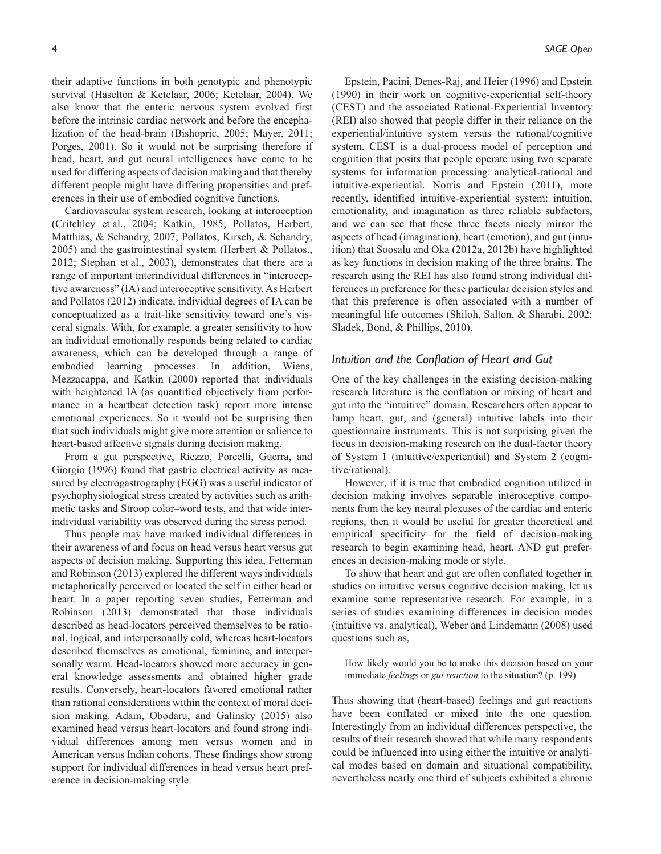their adaptive functions in both genotypic and phenotypic survival (Haselton & Ketelaar, 2006; Ketelaar, 2004). We also know that the enteric nervous system evolved first before the intrinsic cardiac network and before the encephalization of the head-brain (Bishopric, 2005; Mayer, 2011; Porges, 2001). So it would not be surprising therefore if head, heart, and gut neural intelligences have come to be used for differing aspects of decision making and that thereby different people might have differing propensities and preferences in their use of embodied cognitive functions.

Cardiovascular system research, looking at interoception (Critchley et al., 2004; Katkin, 1985; Pollatos, Herbert, Matthias, & Schandry, 2007; Pollatos, Kirsch, & Schandry, 2005) and the gastrointestinal system (Herbert & Pollatos., 2012; Stephan et al., 2003), demonstrates that there are a range of important interindividual differences in "interoceptive awareness" (IA) and interoceptive sensitivity. As Herbert and Pollatos (2012) indicate, individual degrees of IA can be conceptualized as a trait-like sensitivity toward one's visceral signals. With, for example, a greater sensitivity to how an individual emotionally responds being related to cardiac awareness, which can be developed through a range of embodied learning processes. In addition, Wiens, Mezzacappa, and Katkin (2000) reported that individuals with heightened IA (as quantified objectively from performance in a heartbeat detection task) report more intense emotional experiences. So it would not be surprising then that such individuals might give more attention or salience to heart-based affective signals during decision making.

From a gut perspective, Riezzo, Porcelli, Guerra, and Giorgio (1996) found that gastric electrical activity as measured by electrogastrography (EGG) was a useful indicator of psychophysiological stress created by activities such as arithmetic tasks and Stroop color–word tests, and that wide interindividual variability was observed during the stress period.

Thus people may have marked individual differences in their awareness of and focus on head versus heart versus gut aspects of decision making. Supporting this idea, Fetterman and Robinson (2013) explored the different ways individuals metaphorically perceived or located the self in either head or heart. In a paper reporting seven studies, Fetterman and Robinson (2013) demonstrated that those individuals described as head-locators perceived themselves to be rational, logical, and interpersonally cold, whereas heart-locators described themselves as emotional, feminine, and interpersonally warm. Head-locators showed more accuracy in general knowledge assessments and obtained higher grade results. Conversely, heart-locators favored emotional rather than rational considerations within the context of moral decision making. Adam, Obodaru, and Galinsky (2015) also examined head versus heart-locators and found strong individual differences among men versus women and in American versus Indian cohorts. These findings show strong support for individual differences in head versus heart preference in decision-making style.

Epstein, Pacini, Denes-Raj, and Heier (1996) and Epstein (1990) in their work on cognitive-experiential self-theory (CEST) and the associated Rational-Experiential Inventory (REI) also showed that people differ in their reliance on the experiential/intuitive system versus the rational/cognitive system. CEST is a dual-process model of perception and cognition that posits that people operate using two separate systems for information processing: analytical-rational and intuitive-experiential. Norris and Epstein (2011), more recently, identified intuitive-experiential system: intuition, emotionality, and imagination as three reliable subfactors, and we can see that these three facets nicely mirror the aspects of head (imagination), heart (emotion), and gut (intuition) that Soosalu and Oka (2012a, 2012b) have highlighted as key functions in decision making of the three brains. The research using the REI has also found strong individual differences in preference for these particular decision styles and that this preference is often associated with a number of meaningful life outcomes (Shiloh, Salton, & Sharabi, 2002; Sladek, Bond, & Phillips, 2010).

## *Intuition and the Conflation of Heart and Gut*

One of the key challenges in the existing decision-making research literature is the conflation or mixing of heart and gut into the "intuitive" domain. Researchers often appear to lump heart, gut, and (general) intuitive labels into their questionnaire instruments. This is not surprising given the focus in decision-making research on the dual-factor theory of System 1 (intuitive/experiential) and System 2 (cognitive/rational).

However, if it is true that embodied cognition utilized in decision making involves separable interoceptive components from the key neural plexuses of the cardiac and enteric regions, then it would be useful for greater theoretical and empirical specificity for the field of decision-making research to begin examining head, heart, AND gut preferences in decision-making mode or style.

To show that heart and gut are often conflated together in studies on intuitive versus cognitive decision making, let us examine some representative research. For example, in a series of studies examining differences in decision modes (intuitive vs. analytical), Weber and Lindemann (2008) used questions such as,

How likely would you be to make this decision based on your immediate *feelings* or *gut reaction* to the situation? (p. 199)

Thus showing that (heart-based) feelings and gut reactions have been conflated or mixed into the one question. Interestingly from an individual differences perspective, the results of their research showed that while many respondents could be influenced into using either the intuitive or analytical modes based on domain and situational compatibility, nevertheless nearly one third of subjects exhibited a chronic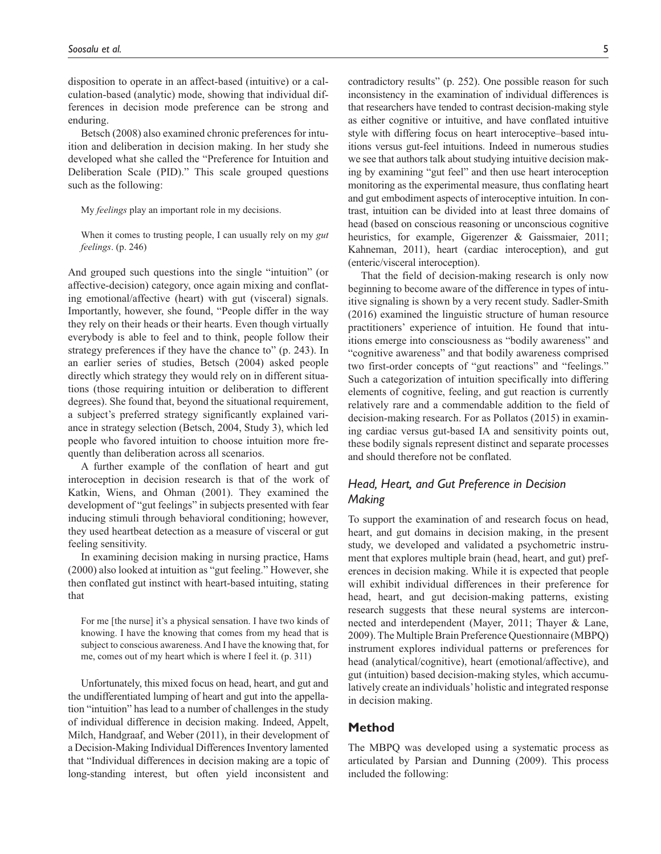disposition to operate in an affect-based (intuitive) or a calculation-based (analytic) mode, showing that individual differences in decision mode preference can be strong and enduring.

Betsch (2008) also examined chronic preferences for intuition and deliberation in decision making. In her study she developed what she called the "Preference for Intuition and Deliberation Scale (PID)." This scale grouped questions such as the following:

My *feelings* play an important role in my decisions.

When it comes to trusting people, I can usually rely on my *gut feelings*. (p. 246)

And grouped such questions into the single "intuition" (or affective-decision) category, once again mixing and conflating emotional/affective (heart) with gut (visceral) signals. Importantly, however, she found, "People differ in the way they rely on their heads or their hearts. Even though virtually everybody is able to feel and to think, people follow their strategy preferences if they have the chance to" (p. 243). In an earlier series of studies, Betsch (2004) asked people directly which strategy they would rely on in different situations (those requiring intuition or deliberation to different degrees). She found that, beyond the situational requirement, a subject's preferred strategy significantly explained variance in strategy selection (Betsch, 2004, Study 3), which led people who favored intuition to choose intuition more frequently than deliberation across all scenarios.

A further example of the conflation of heart and gut interoception in decision research is that of the work of Katkin, Wiens, and Ohman (2001). They examined the development of "gut feelings" in subjects presented with fear inducing stimuli through behavioral conditioning; however, they used heartbeat detection as a measure of visceral or gut feeling sensitivity.

In examining decision making in nursing practice, Hams (2000) also looked at intuition as "gut feeling." However, she then conflated gut instinct with heart-based intuiting, stating that

For me [the nurse] it's a physical sensation. I have two kinds of knowing. I have the knowing that comes from my head that is subject to conscious awareness. And I have the knowing that, for me, comes out of my heart which is where I feel it. (p. 311)

Unfortunately, this mixed focus on head, heart, and gut and the undifferentiated lumping of heart and gut into the appellation "intuition" has lead to a number of challenges in the study of individual difference in decision making. Indeed, Appelt, Milch, Handgraaf, and Weber (2011), in their development of a Decision-Making Individual Differences Inventory lamented that "Individual differences in decision making are a topic of long-standing interest, but often yield inconsistent and

contradictory results" (p. 252). One possible reason for such inconsistency in the examination of individual differences is that researchers have tended to contrast decision-making style as either cognitive or intuitive, and have conflated intuitive style with differing focus on heart interoceptive–based intuitions versus gut-feel intuitions. Indeed in numerous studies we see that authors talk about studying intuitive decision making by examining "gut feel" and then use heart interoception monitoring as the experimental measure, thus conflating heart and gut embodiment aspects of interoceptive intuition. In contrast, intuition can be divided into at least three domains of head (based on conscious reasoning or unconscious cognitive heuristics, for example, Gigerenzer & Gaissmaier, 2011; Kahneman, 2011), heart (cardiac interoception), and gut (enteric/visceral interoception).

That the field of decision-making research is only now beginning to become aware of the difference in types of intuitive signaling is shown by a very recent study. Sadler-Smith (2016) examined the linguistic structure of human resource practitioners' experience of intuition. He found that intuitions emerge into consciousness as "bodily awareness" and "cognitive awareness" and that bodily awareness comprised two first-order concepts of "gut reactions" and "feelings." Such a categorization of intuition specifically into differing elements of cognitive, feeling, and gut reaction is currently relatively rare and a commendable addition to the field of decision-making research. For as Pollatos (2015) in examining cardiac versus gut-based IA and sensitivity points out, these bodily signals represent distinct and separate processes and should therefore not be conflated.

# *Head, Heart, and Gut Preference in Decision Making*

To support the examination of and research focus on head, heart, and gut domains in decision making, in the present study, we developed and validated a psychometric instrument that explores multiple brain (head, heart, and gut) preferences in decision making. While it is expected that people will exhibit individual differences in their preference for head, heart, and gut decision-making patterns, existing research suggests that these neural systems are interconnected and interdependent (Mayer, 2011; Thayer & Lane, 2009). The Multiple Brain Preference Questionnaire (MBPQ) instrument explores individual patterns or preferences for head (analytical/cognitive), heart (emotional/affective), and gut (intuition) based decision-making styles, which accumulatively create an individuals' holistic and integrated response in decision making.

## **Method**

The MBPQ was developed using a systematic process as articulated by Parsian and Dunning (2009). This process included the following: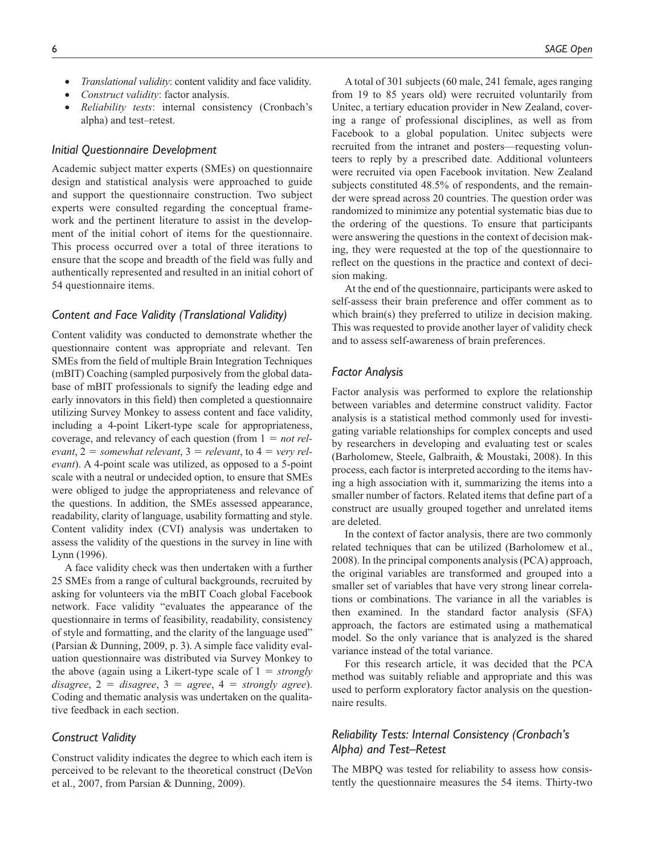- *Translational validity*: content validity and face validity.
- *Construct validity*: factor analysis.
- *Reliability tests*: internal consistency (Cronbach's alpha) and test–retest.

#### *Initial Questionnaire Development*

Academic subject matter experts (SMEs) on questionnaire design and statistical analysis were approached to guide and support the questionnaire construction. Two subject experts were consulted regarding the conceptual framework and the pertinent literature to assist in the development of the initial cohort of items for the questionnaire. This process occurred over a total of three iterations to ensure that the scope and breadth of the field was fully and authentically represented and resulted in an initial cohort of 54 questionnaire items.

## *Content and Face Validity (Translational Validity)*

Content validity was conducted to demonstrate whether the questionnaire content was appropriate and relevant. Ten SMEs from the field of multiple Brain Integration Techniques (mBIT) Coaching (sampled purposively from the global database of mBIT professionals to signify the leading edge and early innovators in this field) then completed a questionnaire utilizing Survey Monkey to assess content and face validity, including a 4-point Likert-type scale for appropriateness, coverage, and relevancy of each question (from 1 = *not rel-* $$ *evant*). A 4-point scale was utilized, as opposed to a 5-point scale with a neutral or undecided option, to ensure that SMEs were obliged to judge the appropriateness and relevance of the questions. In addition, the SMEs assessed appearance, readability, clarity of language, usability formatting and style. Content validity index (CVI) analysis was undertaken to assess the validity of the questions in the survey in line with Lynn (1996).

A face validity check was then undertaken with a further 25 SMEs from a range of cultural backgrounds, recruited by asking for volunteers via the mBIT Coach global Facebook network. Face validity "evaluates the appearance of the questionnaire in terms of feasibility, readability, consistency of style and formatting, and the clarity of the language used" (Parsian & Dunning, 2009, p. 3). A simple face validity evaluation questionnaire was distributed via Survey Monkey to the above (again using a Likert-type scale of 1 = *strongly disagree*, 2 = *disagree*, 3 = *agree*, 4 = *strongly agree*). Coding and thematic analysis was undertaken on the qualitative feedback in each section.

## *Construct Validity*

Construct validity indicates the degree to which each item is perceived to be relevant to the theoretical construct (DeVon et al., 2007, from Parsian & Dunning, 2009).

A total of 301 subjects (60 male, 241 female, ages ranging from 19 to 85 years old) were recruited voluntarily from Unitec, a tertiary education provider in New Zealand, covering a range of professional disciplines, as well as from Facebook to a global population. Unitec subjects were recruited from the intranet and posters—requesting volunteers to reply by a prescribed date. Additional volunteers were recruited via open Facebook invitation. New Zealand subjects constituted 48.5% of respondents, and the remainder were spread across 20 countries. The question order was randomized to minimize any potential systematic bias due to the ordering of the questions. To ensure that participants were answering the questions in the context of decision making, they were requested at the top of the questionnaire to reflect on the questions in the practice and context of decision making.

At the end of the questionnaire, participants were asked to self-assess their brain preference and offer comment as to which brain(s) they preferred to utilize in decision making. This was requested to provide another layer of validity check and to assess self-awareness of brain preferences.

## *Factor Analysis*

Factor analysis was performed to explore the relationship between variables and determine construct validity. Factor analysis is a statistical method commonly used for investigating variable relationships for complex concepts and used by researchers in developing and evaluating test or scales (Barholomew, Steele, Galbraith, & Moustaki, 2008). In this process, each factor is interpreted according to the items having a high association with it, summarizing the items into a smaller number of factors. Related items that define part of a construct are usually grouped together and unrelated items are deleted.

In the context of factor analysis, there are two commonly related techniques that can be utilized (Barholomew et al., 2008). In the principal components analysis (PCA) approach, the original variables are transformed and grouped into a smaller set of variables that have very strong linear correlations or combinations. The variance in all the variables is then examined. In the standard factor analysis (SFA) approach, the factors are estimated using a mathematical model. So the only variance that is analyzed is the shared variance instead of the total variance.

For this research article, it was decided that the PCA method was suitably reliable and appropriate and this was used to perform exploratory factor analysis on the questionnaire results.

## *Reliability Tests: Internal Consistency (Cronbach's Alpha) and Test–Retest*

The MBPQ was tested for reliability to assess how consistently the questionnaire measures the 54 items. Thirty-two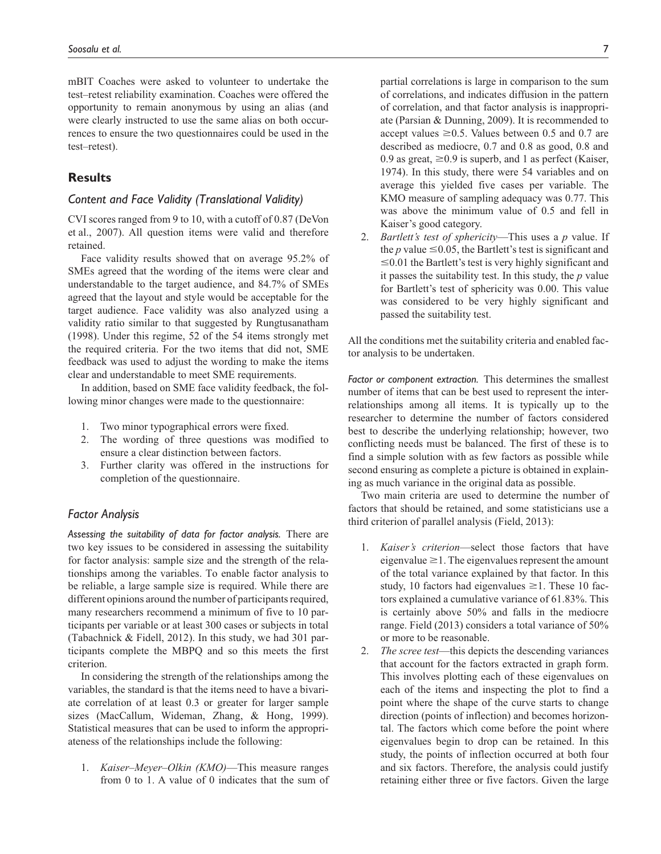mBIT Coaches were asked to volunteer to undertake the test–retest reliability examination. Coaches were offered the opportunity to remain anonymous by using an alias (and were clearly instructed to use the same alias on both occurrences to ensure the two questionnaires could be used in the test–retest).

## **Results**

## *Content and Face Validity (Translational Validity)*

CVI scores ranged from 9 to 10, with a cutoff of 0.87 (DeVon et al., 2007). All question items were valid and therefore retained.

Face validity results showed that on average 95.2% of SMEs agreed that the wording of the items were clear and understandable to the target audience, and 84.7% of SMEs agreed that the layout and style would be acceptable for the target audience. Face validity was also analyzed using a validity ratio similar to that suggested by Rungtusanatham (1998). Under this regime, 52 of the 54 items strongly met the required criteria. For the two items that did not, SME feedback was used to adjust the wording to make the items clear and understandable to meet SME requirements.

In addition, based on SME face validity feedback, the following minor changes were made to the questionnaire:

- 1. Two minor typographical errors were fixed.
- 2. The wording of three questions was modified to ensure a clear distinction between factors.
- 3. Further clarity was offered in the instructions for completion of the questionnaire.

#### *Factor Analysis*

*Assessing the suitability of data for factor analysis.* There are two key issues to be considered in assessing the suitability for factor analysis: sample size and the strength of the relationships among the variables. To enable factor analysis to be reliable, a large sample size is required. While there are different opinions around the number of participants required, many researchers recommend a minimum of five to 10 participants per variable or at least 300 cases or subjects in total (Tabachnick & Fidell, 2012). In this study, we had 301 participants complete the MBPQ and so this meets the first criterion.

In considering the strength of the relationships among the variables, the standard is that the items need to have a bivariate correlation of at least 0.3 or greater for larger sample sizes (MacCallum, Wideman, Zhang, & Hong, 1999). Statistical measures that can be used to inform the appropriateness of the relationships include the following:

1. *Kaiser–Meyer–Olkin (KMO)*—This measure ranges from 0 to 1. A value of 0 indicates that the sum of partial correlations is large in comparison to the sum of correlations, and indicates diffusion in the pattern of correlation, and that factor analysis is inappropriate (Parsian & Dunning, 2009). It is recommended to accept values  $\geq 0.5$ . Values between 0.5 and 0.7 are described as mediocre, 0.7 and 0.8 as good, 0.8 and 0.9 as great,  $\geq$  0.9 is superb, and 1 as perfect (Kaiser, 1974). In this study, there were 54 variables and on average this yielded five cases per variable. The KMO measure of sampling adequacy was 0.77. This was above the minimum value of 0.5 and fell in Kaiser's good category.

2. *Bartlett's test of sphericity*—This uses a *p* value. If the  $p$  value  $\leq 0.05$ , the Bartlett's test is significant and ≤0.01 the Bartlett's test is very highly significant and it passes the suitability test. In this study, the *p* value for Bartlett's test of sphericity was 0.00. This value was considered to be very highly significant and passed the suitability test.

All the conditions met the suitability criteria and enabled factor analysis to be undertaken.

*Factor or component extraction.* This determines the smallest number of items that can be best used to represent the interrelationships among all items. It is typically up to the researcher to determine the number of factors considered best to describe the underlying relationship; however, two conflicting needs must be balanced. The first of these is to find a simple solution with as few factors as possible while second ensuring as complete a picture is obtained in explaining as much variance in the original data as possible.

Two main criteria are used to determine the number of factors that should be retained, and some statisticians use a third criterion of parallel analysis (Field, 2013):

- 1. *Kaiser's criterion*—select those factors that have eigenvalue  $\geq 1$ . The eigenvalues represent the amount of the total variance explained by that factor. In this study, 10 factors had eigenvalues  $\geq$  1. These 10 factors explained a cumulative variance of 61.83%. This is certainly above 50% and falls in the mediocre range. Field (2013) considers a total variance of 50% or more to be reasonable.
- 2. *The scree test*—this depicts the descending variances that account for the factors extracted in graph form. This involves plotting each of these eigenvalues on each of the items and inspecting the plot to find a point where the shape of the curve starts to change direction (points of inflection) and becomes horizontal. The factors which come before the point where eigenvalues begin to drop can be retained. In this study, the points of inflection occurred at both four and six factors. Therefore, the analysis could justify retaining either three or five factors. Given the large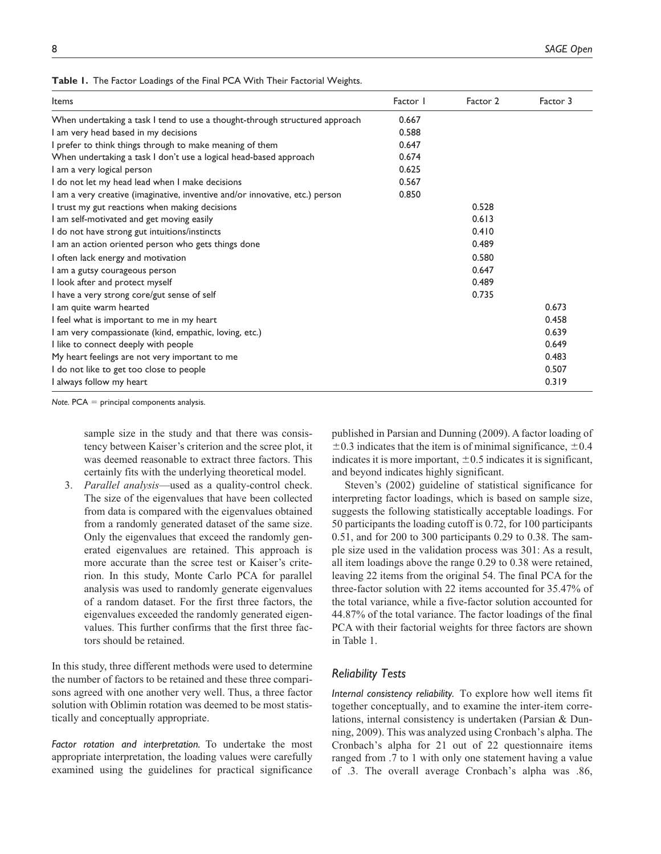|  |  |  |  |  |  |  |  |  |  | Table 1. The Factor Loadings of the Final PCA With Their Factorial Weights. |
|--|--|--|--|--|--|--|--|--|--|-----------------------------------------------------------------------------|
|--|--|--|--|--|--|--|--|--|--|-----------------------------------------------------------------------------|

| Items                                                                        | Factor I | Factor 2 | Factor 3 |
|------------------------------------------------------------------------------|----------|----------|----------|
| When undertaking a task I tend to use a thought-through structured approach  | 0.667    |          |          |
| I am very head based in my decisions                                         | 0.588    |          |          |
| I prefer to think things through to make meaning of them                     | 0.647    |          |          |
| When undertaking a task I don't use a logical head-based approach            | 0.674    |          |          |
| I am a very logical person                                                   | 0.625    |          |          |
| I do not let my head lead when I make decisions                              | 0.567    |          |          |
| I am a very creative (imaginative, inventive and/or innovative, etc.) person | 0.850    |          |          |
| I trust my gut reactions when making decisions                               |          | 0.528    |          |
| I am self-motivated and get moving easily                                    |          | 0.613    |          |
| I do not have strong gut intuitions/instincts                                |          | 0.410    |          |
| I am an action oriented person who gets things done                          |          | 0.489    |          |
| I often lack energy and motivation                                           |          | 0.580    |          |
| I am a gutsy courageous person                                               |          | 0.647    |          |
| I look after and protect myself                                              |          | 0.489    |          |
| I have a very strong core/gut sense of self                                  |          | 0.735    |          |
| I am quite warm hearted                                                      |          |          | 0.673    |
| I feel what is important to me in my heart                                   |          |          | 0.458    |
| I am very compassionate (kind, empathic, loving, etc.)                       |          |          | 0.639    |
| I like to connect deeply with people                                         |          |          | 0.649    |
| My heart feelings are not very important to me                               |          |          | 0.483    |
| I do not like to get too close to people                                     |          |          | 0.507    |
| I always follow my heart                                                     |          |          | 0.319    |

*Note.* PCA = principal components analysis.

sample size in the study and that there was consistency between Kaiser's criterion and the scree plot, it was deemed reasonable to extract three factors. This certainly fits with the underlying theoretical model.

3. *Parallel analysis*—used as a quality-control check. The size of the eigenvalues that have been collected from data is compared with the eigenvalues obtained from a randomly generated dataset of the same size. Only the eigenvalues that exceed the randomly generated eigenvalues are retained. This approach is more accurate than the scree test or Kaiser's criterion. In this study, Monte Carlo PCA for parallel analysis was used to randomly generate eigenvalues of a random dataset. For the first three factors, the eigenvalues exceeded the randomly generated eigenvalues. This further confirms that the first three factors should be retained.

In this study, three different methods were used to determine the number of factors to be retained and these three comparisons agreed with one another very well. Thus, a three factor solution with Oblimin rotation was deemed to be most statistically and conceptually appropriate.

*Factor rotation and interpretation.* To undertake the most appropriate interpretation, the loading values were carefully examined using the guidelines for practical significance

published in Parsian and Dunning (2009). A factor loading of  $\pm 0.3$  indicates that the item is of minimal significance,  $\pm 0.4$ indicates it is more important,  $\pm 0.5$  indicates it is significant, and beyond indicates highly significant.

Steven's (2002) guideline of statistical significance for interpreting factor loadings, which is based on sample size, suggests the following statistically acceptable loadings. For 50 participants the loading cutoff is 0.72, for 100 participants 0.51, and for 200 to 300 participants 0.29 to 0.38. The sample size used in the validation process was 301: As a result, all item loadings above the range 0.29 to 0.38 were retained, leaving 22 items from the original 54. The final PCA for the three-factor solution with 22 items accounted for 35.47% of the total variance, while a five-factor solution accounted for 44.87% of the total variance. The factor loadings of the final PCA with their factorial weights for three factors are shown in Table 1.

#### *Reliability Tests*

*Internal consistency reliability.* To explore how well items fit together conceptually, and to examine the inter-item correlations, internal consistency is undertaken (Parsian & Dunning, 2009). This was analyzed using Cronbach's alpha. The Cronbach's alpha for 21 out of 22 questionnaire items ranged from .7 to 1 with only one statement having a value of .3. The overall average Cronbach's alpha was .86,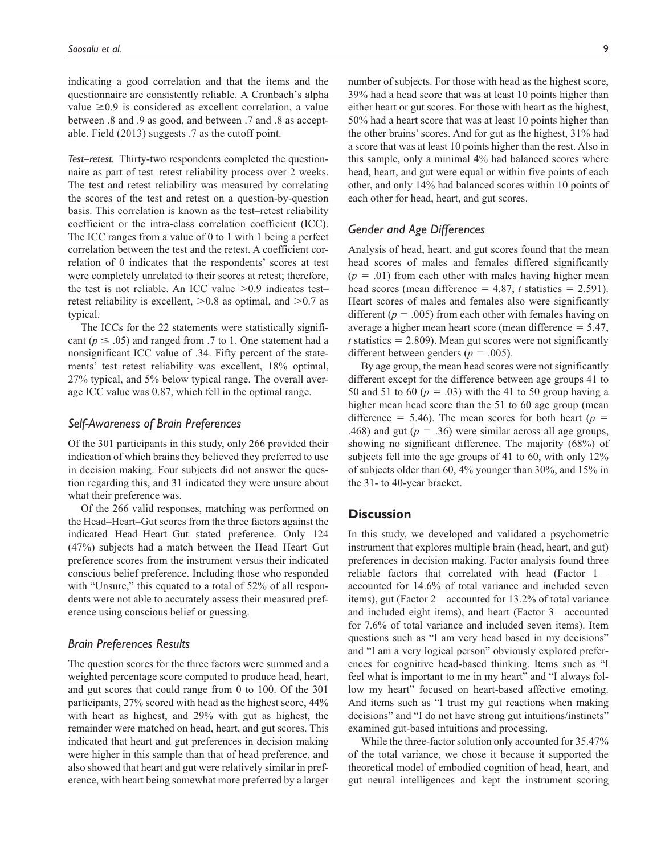indicating a good correlation and that the items and the questionnaire are consistently reliable. A Cronbach's alpha value  $\geq 0.9$  is considered as excellent correlation, a value between .8 and .9 as good, and between .7 and .8 as acceptable. Field (2013) suggests .7 as the cutoff point.

*Test–retest.* Thirty-two respondents completed the questionnaire as part of test–retest reliability process over 2 weeks. The test and retest reliability was measured by correlating the scores of the test and retest on a question-by-question basis. This correlation is known as the test–retest reliability coefficient or the intra-class correlation coefficient (ICC). The ICC ranges from a value of 0 to 1 with 1 being a perfect correlation between the test and the retest. A coefficient correlation of 0 indicates that the respondents' scores at test were completely unrelated to their scores at retest; therefore, the test is not reliable. An ICC value  $>0.9$  indicates test– retest reliability is excellent,  $>0.8$  as optimal, and  $>0.7$  as typical.

The ICCs for the 22 statements were statistically significant ( $p \leq .05$ ) and ranged from .7 to 1. One statement had a nonsignificant ICC value of .34. Fifty percent of the statements' test–retest reliability was excellent, 18% optimal, 27% typical, and 5% below typical range. The overall average ICC value was 0.87, which fell in the optimal range.

#### *Self-Awareness of Brain Preferences*

Of the 301 participants in this study, only 266 provided their indication of which brains they believed they preferred to use in decision making. Four subjects did not answer the question regarding this, and 31 indicated they were unsure about what their preference was.

Of the 266 valid responses, matching was performed on the Head–Heart–Gut scores from the three factors against the indicated Head–Heart–Gut stated preference. Only 124 (47%) subjects had a match between the Head–Heart–Gut preference scores from the instrument versus their indicated conscious belief preference. Including those who responded with "Unsure," this equated to a total of 52% of all respondents were not able to accurately assess their measured preference using conscious belief or guessing.

## *Brain Preferences Results*

The question scores for the three factors were summed and a weighted percentage score computed to produce head, heart, and gut scores that could range from 0 to 100. Of the 301 participants, 27% scored with head as the highest score, 44% with heart as highest, and 29% with gut as highest, the remainder were matched on head, heart, and gut scores. This indicated that heart and gut preferences in decision making were higher in this sample than that of head preference, and also showed that heart and gut were relatively similar in preference, with heart being somewhat more preferred by a larger

number of subjects. For those with head as the highest score, 39% had a head score that was at least 10 points higher than either heart or gut scores. For those with heart as the highest, 50% had a heart score that was at least 10 points higher than the other brains' scores. And for gut as the highest, 31% had a score that was at least 10 points higher than the rest. Also in this sample, only a minimal 4% had balanced scores where head, heart, and gut were equal or within five points of each other, and only 14% had balanced scores within 10 points of each other for head, heart, and gut scores.

## *Gender and Age Differences*

Analysis of head, heart, and gut scores found that the mean head scores of males and females differed significantly  $(p = .01)$  from each other with males having higher mean head scores (mean difference  $= 4.87$ , *t* statistics  $= 2.591$ ). Heart scores of males and females also were significantly different ( $p = .005$ ) from each other with females having on average a higher mean heart score (mean difference = 5.47,  $t$  statistics  $= 2.809$ ). Mean gut scores were not significantly different between genders ( $p = .005$ ).

By age group, the mean head scores were not significantly different except for the difference between age groups 41 to 50 and 51 to 60  $(p = .03)$  with the 41 to 50 group having a higher mean head score than the 51 to 60 age group (mean difference  $= 5.46$ ). The mean scores for both heart ( $p =$ .468) and gut  $(p = .36)$  were similar across all age groups, showing no significant difference. The majority (68%) of subjects fell into the age groups of 41 to 60, with only 12% of subjects older than 60, 4% younger than 30%, and 15% in the 31- to 40-year bracket.

### **Discussion**

In this study, we developed and validated a psychometric instrument that explores multiple brain (head, heart, and gut) preferences in decision making. Factor analysis found three reliable factors that correlated with head (Factor 1 accounted for 14.6% of total variance and included seven items), gut (Factor 2—accounted for 13.2% of total variance and included eight items), and heart (Factor 3—accounted for 7.6% of total variance and included seven items). Item questions such as "I am very head based in my decisions" and "I am a very logical person" obviously explored preferences for cognitive head-based thinking. Items such as "I feel what is important to me in my heart" and "I always follow my heart" focused on heart-based affective emoting. And items such as "I trust my gut reactions when making decisions" and "I do not have strong gut intuitions/instincts" examined gut-based intuitions and processing.

While the three-factor solution only accounted for 35.47% of the total variance, we chose it because it supported the theoretical model of embodied cognition of head, heart, and gut neural intelligences and kept the instrument scoring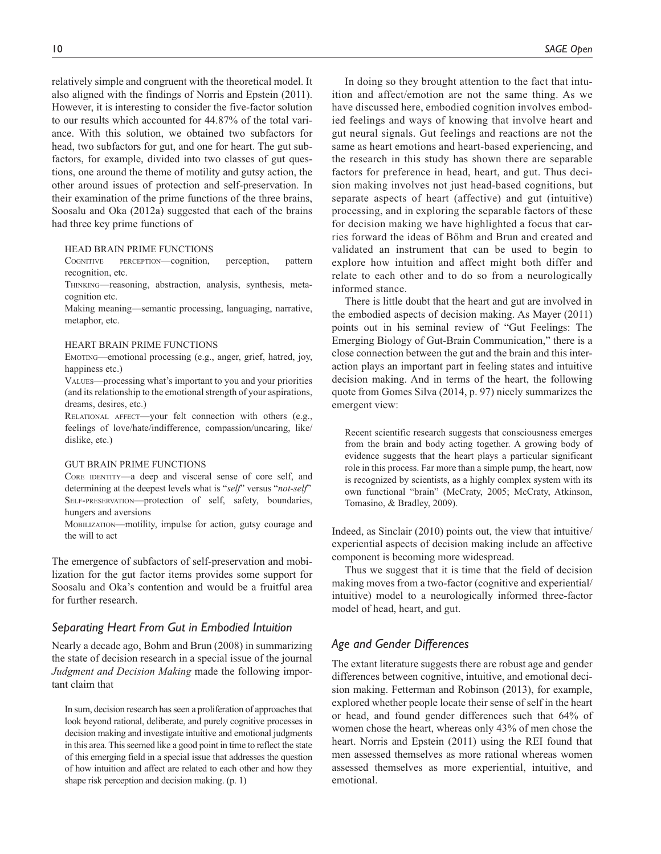relatively simple and congruent with the theoretical model. It also aligned with the findings of Norris and Epstein (2011). However, it is interesting to consider the five-factor solution to our results which accounted for 44.87% of the total variance. With this solution, we obtained two subfactors for head, two subfactors for gut, and one for heart. The gut subfactors, for example, divided into two classes of gut questions, one around the theme of motility and gutsy action, the other around issues of protection and self-preservation. In their examination of the prime functions of the three brains, Soosalu and Oka (2012a) suggested that each of the brains had three key prime functions of

#### HEAD BRAIN PRIME FUNCTIONS

Cognitive perception—cognition, perception, pattern recognition, etc.

Thinking—reasoning, abstraction, analysis, synthesis, metacognition etc.

Making meaning—semantic processing, languaging, narrative, metaphor, etc.

#### HEART BRAIN PRIME FUNCTIONS

Emoting—emotional processing (e.g., anger, grief, hatred, joy, happiness etc.)

Values—processing what's important to you and your priorities (and its relationship to the emotional strength of your aspirations, dreams, desires, etc.)

Relational affect—your felt connection with others (e.g., feelings of love/hate/indifference, compassion/uncaring, like/ dislike, etc.)

#### GUT BRAIN PRIME FUNCTIONS

CORE IDENTITY-a deep and visceral sense of core self, and determining at the deepest levels what is "*self*" versus "*not-self*" Self-preservation—protection of self, safety, boundaries, hungers and aversions

Mobilization—motility, impulse for action, gutsy courage and the will to act

The emergence of subfactors of self-preservation and mobilization for the gut factor items provides some support for Soosalu and Oka's contention and would be a fruitful area for further research.

#### *Separating Heart From Gut in Embodied Intuition*

Nearly a decade ago, Bohm and Brun (2008) in summarizing the state of decision research in a special issue of the journal *Judgment and Decision Making* made the following important claim that

In sum, decision research has seen a proliferation of approaches that look beyond rational, deliberate, and purely cognitive processes in decision making and investigate intuitive and emotional judgments in this area. This seemed like a good point in time to reflect the state of this emerging field in a special issue that addresses the question of how intuition and affect are related to each other and how they shape risk perception and decision making. (p. 1)

In doing so they brought attention to the fact that intuition and affect/emotion are not the same thing. As we have discussed here, embodied cognition involves embodied feelings and ways of knowing that involve heart and gut neural signals. Gut feelings and reactions are not the same as heart emotions and heart-based experiencing, and the research in this study has shown there are separable factors for preference in head, heart, and gut. Thus decision making involves not just head-based cognitions, but separate aspects of heart (affective) and gut (intuitive) processing, and in exploring the separable factors of these for decision making we have highlighted a focus that carries forward the ideas of Böhm and Brun and created and validated an instrument that can be used to begin to explore how intuition and affect might both differ and relate to each other and to do so from a neurologically informed stance.

There is little doubt that the heart and gut are involved in the embodied aspects of decision making. As Mayer (2011) points out in his seminal review of "Gut Feelings: The Emerging Biology of Gut-Brain Communication," there is a close connection between the gut and the brain and this interaction plays an important part in feeling states and intuitive decision making. And in terms of the heart, the following quote from Gomes Silva (2014, p. 97) nicely summarizes the emergent view:

Recent scientific research suggests that consciousness emerges from the brain and body acting together. A growing body of evidence suggests that the heart plays a particular significant role in this process. Far more than a simple pump, the heart, now is recognized by scientists, as a highly complex system with its own functional "brain" (McCraty, 2005; McCraty, Atkinson, Tomasino, & Bradley, 2009).

Indeed, as Sinclair (2010) points out, the view that intuitive/ experiential aspects of decision making include an affective component is becoming more widespread.

Thus we suggest that it is time that the field of decision making moves from a two-factor (cognitive and experiential/ intuitive) model to a neurologically informed three-factor model of head, heart, and gut.

## *Age and Gender Differences*

The extant literature suggests there are robust age and gender differences between cognitive, intuitive, and emotional decision making. Fetterman and Robinson (2013), for example, explored whether people locate their sense of self in the heart or head, and found gender differences such that 64% of women chose the heart, whereas only 43% of men chose the heart. Norris and Epstein (2011) using the REI found that men assessed themselves as more rational whereas women assessed themselves as more experiential, intuitive, and emotional.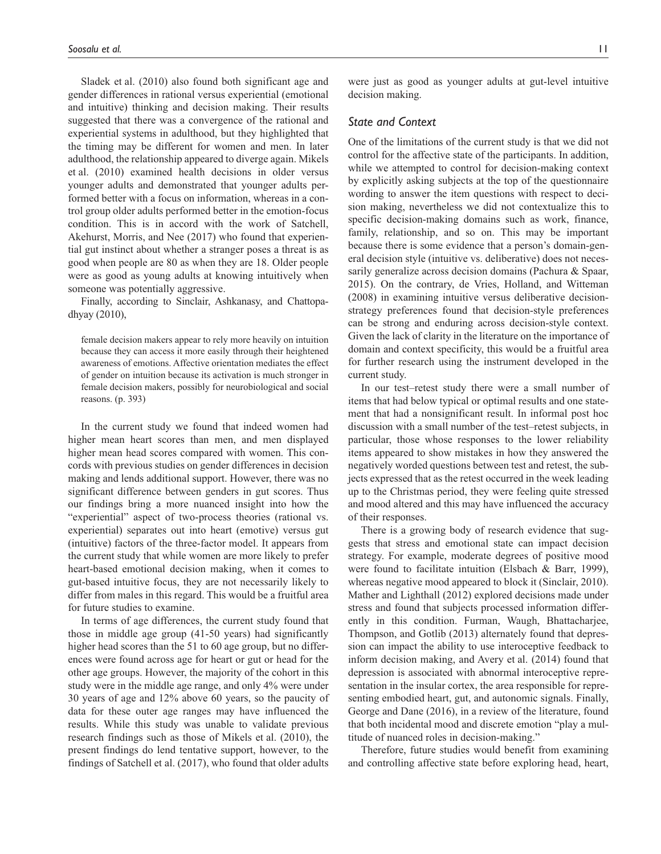Sladek et al. (2010) also found both significant age and gender differences in rational versus experiential (emotional and intuitive) thinking and decision making. Their results suggested that there was a convergence of the rational and experiential systems in adulthood, but they highlighted that the timing may be different for women and men. In later adulthood, the relationship appeared to diverge again. Mikels et al. (2010) examined health decisions in older versus younger adults and demonstrated that younger adults performed better with a focus on information, whereas in a control group older adults performed better in the emotion-focus condition. This is in accord with the work of Satchell, Akehurst, Morris, and Nee (2017) who found that experiential gut instinct about whether a stranger poses a threat is as good when people are 80 as when they are 18. Older people were as good as young adults at knowing intuitively when someone was potentially aggressive.

Finally, according to Sinclair, Ashkanasy, and Chattopadhyay (2010),

female decision makers appear to rely more heavily on intuition because they can access it more easily through their heightened awareness of emotions. Affective orientation mediates the effect of gender on intuition because its activation is much stronger in female decision makers, possibly for neurobiological and social reasons. (p. 393)

In the current study we found that indeed women had higher mean heart scores than men, and men displayed higher mean head scores compared with women. This concords with previous studies on gender differences in decision making and lends additional support. However, there was no significant difference between genders in gut scores. Thus our findings bring a more nuanced insight into how the "experiential" aspect of two-process theories (rational vs. experiential) separates out into heart (emotive) versus gut (intuitive) factors of the three-factor model. It appears from the current study that while women are more likely to prefer heart-based emotional decision making, when it comes to gut-based intuitive focus, they are not necessarily likely to differ from males in this regard. This would be a fruitful area for future studies to examine.

In terms of age differences, the current study found that those in middle age group (41-50 years) had significantly higher head scores than the 51 to 60 age group, but no differences were found across age for heart or gut or head for the other age groups. However, the majority of the cohort in this study were in the middle age range, and only 4% were under 30 years of age and 12% above 60 years, so the paucity of data for these outer age ranges may have influenced the results. While this study was unable to validate previous research findings such as those of Mikels et al. (2010), the present findings do lend tentative support, however, to the findings of Satchell et al. (2017), who found that older adults

were just as good as younger adults at gut-level intuitive decision making.

#### *State and Context*

One of the limitations of the current study is that we did not control for the affective state of the participants. In addition, while we attempted to control for decision-making context by explicitly asking subjects at the top of the questionnaire wording to answer the item questions with respect to decision making, nevertheless we did not contextualize this to specific decision-making domains such as work, finance, family, relationship, and so on. This may be important because there is some evidence that a person's domain-general decision style (intuitive vs. deliberative) does not necessarily generalize across decision domains (Pachura & Spaar, 2015). On the contrary, de Vries, Holland, and Witteman (2008) in examining intuitive versus deliberative decisionstrategy preferences found that decision-style preferences can be strong and enduring across decision-style context. Given the lack of clarity in the literature on the importance of domain and context specificity, this would be a fruitful area for further research using the instrument developed in the current study.

In our test–retest study there were a small number of items that had below typical or optimal results and one statement that had a nonsignificant result. In informal post hoc discussion with a small number of the test–retest subjects, in particular, those whose responses to the lower reliability items appeared to show mistakes in how they answered the negatively worded questions between test and retest, the subjects expressed that as the retest occurred in the week leading up to the Christmas period, they were feeling quite stressed and mood altered and this may have influenced the accuracy of their responses.

There is a growing body of research evidence that suggests that stress and emotional state can impact decision strategy. For example, moderate degrees of positive mood were found to facilitate intuition (Elsbach & Barr, 1999), whereas negative mood appeared to block it (Sinclair, 2010). Mather and Lighthall (2012) explored decisions made under stress and found that subjects processed information differently in this condition. Furman, Waugh, Bhattacharjee, Thompson, and Gotlib (2013) alternately found that depression can impact the ability to use interoceptive feedback to inform decision making, and Avery et al. (2014) found that depression is associated with abnormal interoceptive representation in the insular cortex, the area responsible for representing embodied heart, gut, and autonomic signals. Finally, George and Dane (2016), in a review of the literature, found that both incidental mood and discrete emotion "play a multitude of nuanced roles in decision-making."

Therefore, future studies would benefit from examining and controlling affective state before exploring head, heart,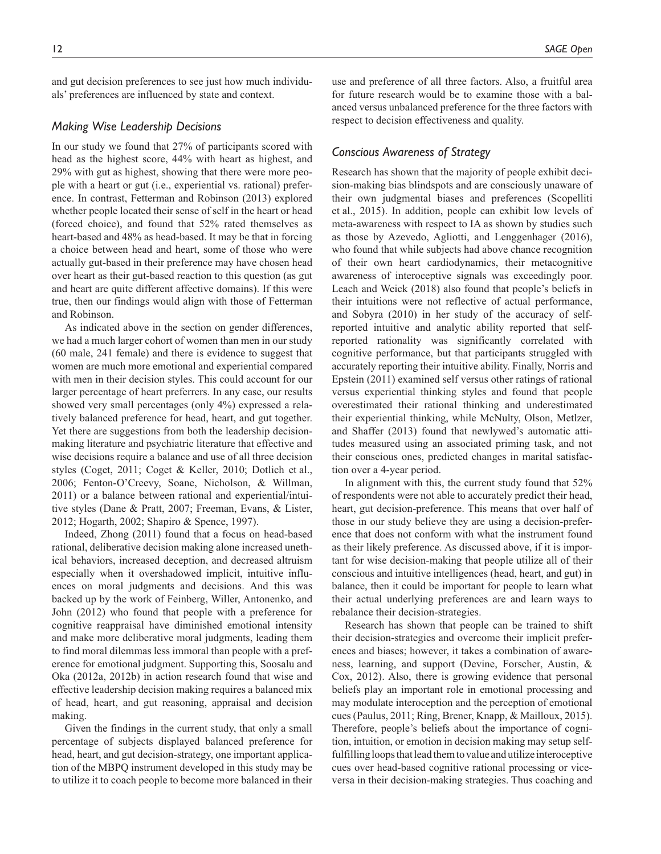and gut decision preferences to see just how much individuals' preferences are influenced by state and context.

#### *Making Wise Leadership Decisions*

In our study we found that 27% of participants scored with head as the highest score, 44% with heart as highest, and 29% with gut as highest, showing that there were more people with a heart or gut (i.e., experiential vs. rational) preference. In contrast, Fetterman and Robinson (2013) explored whether people located their sense of self in the heart or head (forced choice), and found that 52% rated themselves as heart-based and 48% as head-based. It may be that in forcing a choice between head and heart, some of those who were actually gut-based in their preference may have chosen head over heart as their gut-based reaction to this question (as gut and heart are quite different affective domains). If this were true, then our findings would align with those of Fetterman and Robinson.

As indicated above in the section on gender differences, we had a much larger cohort of women than men in our study (60 male, 241 female) and there is evidence to suggest that women are much more emotional and experiential compared with men in their decision styles. This could account for our larger percentage of heart preferrers. In any case, our results showed very small percentages (only 4%) expressed a relatively balanced preference for head, heart, and gut together. Yet there are suggestions from both the leadership decisionmaking literature and psychiatric literature that effective and wise decisions require a balance and use of all three decision styles (Coget, 2011; Coget & Keller, 2010; Dotlich et al., 2006; Fenton-O'Creevy, Soane, Nicholson, & Willman, 2011) or a balance between rational and experiential/intuitive styles (Dane & Pratt, 2007; Freeman, Evans, & Lister, 2012; Hogarth, 2002; Shapiro & Spence, 1997).

Indeed, Zhong (2011) found that a focus on head-based rational, deliberative decision making alone increased unethical behaviors, increased deception, and decreased altruism especially when it overshadowed implicit, intuitive influences on moral judgments and decisions. And this was backed up by the work of Feinberg, Willer, Antonenko, and John (2012) who found that people with a preference for cognitive reappraisal have diminished emotional intensity and make more deliberative moral judgments, leading them to find moral dilemmas less immoral than people with a preference for emotional judgment. Supporting this, Soosalu and Oka (2012a, 2012b) in action research found that wise and effective leadership decision making requires a balanced mix of head, heart, and gut reasoning, appraisal and decision making.

Given the findings in the current study, that only a small percentage of subjects displayed balanced preference for head, heart, and gut decision-strategy, one important application of the MBPQ instrument developed in this study may be to utilize it to coach people to become more balanced in their

## *Conscious Awareness of Strategy*

Research has shown that the majority of people exhibit decision-making bias blindspots and are consciously unaware of their own judgmental biases and preferences (Scopelliti et al., 2015). In addition, people can exhibit low levels of meta-awareness with respect to IA as shown by studies such as those by Azevedo, Agliotti, and Lenggenhager (2016), who found that while subjects had above chance recognition of their own heart cardiodynamics, their metacognitive awareness of interoceptive signals was exceedingly poor. Leach and Weick (2018) also found that people's beliefs in their intuitions were not reflective of actual performance, and Sobyra (2010) in her study of the accuracy of selfreported intuitive and analytic ability reported that selfreported rationality was significantly correlated with cognitive performance, but that participants struggled with accurately reporting their intuitive ability. Finally, Norris and Epstein (2011) examined self versus other ratings of rational versus experiential thinking styles and found that people overestimated their rational thinking and underestimated their experiential thinking, while McNulty, Olson, Metlzer, and Shaffer (2013) found that newlywed's automatic attitudes measured using an associated priming task, and not their conscious ones, predicted changes in marital satisfaction over a 4-year period.

In alignment with this, the current study found that 52% of respondents were not able to accurately predict their head, heart, gut decision-preference. This means that over half of those in our study believe they are using a decision-preference that does not conform with what the instrument found as their likely preference. As discussed above, if it is important for wise decision-making that people utilize all of their conscious and intuitive intelligences (head, heart, and gut) in balance, then it could be important for people to learn what their actual underlying preferences are and learn ways to rebalance their decision-strategies.

Research has shown that people can be trained to shift their decision-strategies and overcome their implicit preferences and biases; however, it takes a combination of awareness, learning, and support (Devine, Forscher, Austin, & Cox, 2012). Also, there is growing evidence that personal beliefs play an important role in emotional processing and may modulate interoception and the perception of emotional cues (Paulus, 2011; Ring, Brener, Knapp, & Mailloux, 2015). Therefore, people's beliefs about the importance of cognition, intuition, or emotion in decision making may setup selffulfilling loops that lead them to value and utilize interoceptive cues over head-based cognitive rational processing or viceversa in their decision-making strategies. Thus coaching and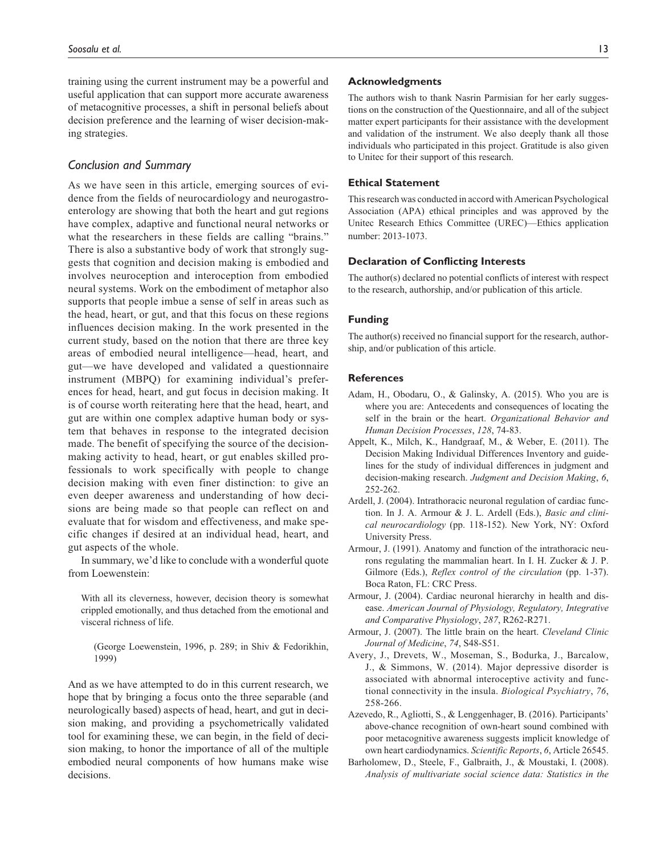training using the current instrument may be a powerful and useful application that can support more accurate awareness of metacognitive processes, a shift in personal beliefs about decision preference and the learning of wiser decision-making strategies.

#### *Conclusion and Summary*

As we have seen in this article, emerging sources of evidence from the fields of neurocardiology and neurogastroenterology are showing that both the heart and gut regions have complex, adaptive and functional neural networks or what the researchers in these fields are calling "brains." There is also a substantive body of work that strongly suggests that cognition and decision making is embodied and involves neuroception and interoception from embodied neural systems. Work on the embodiment of metaphor also supports that people imbue a sense of self in areas such as the head, heart, or gut, and that this focus on these regions influences decision making. In the work presented in the current study, based on the notion that there are three key areas of embodied neural intelligence—head, heart, and gut—we have developed and validated a questionnaire instrument (MBPQ) for examining individual's preferences for head, heart, and gut focus in decision making. It is of course worth reiterating here that the head, heart, and gut are within one complex adaptive human body or system that behaves in response to the integrated decision made. The benefit of specifying the source of the decisionmaking activity to head, heart, or gut enables skilled professionals to work specifically with people to change decision making with even finer distinction: to give an even deeper awareness and understanding of how decisions are being made so that people can reflect on and evaluate that for wisdom and effectiveness, and make specific changes if desired at an individual head, heart, and gut aspects of the whole.

In summary, we'd like to conclude with a wonderful quote from Loewenstein:

With all its cleverness, however, decision theory is somewhat crippled emotionally, and thus detached from the emotional and visceral richness of life.

(George Loewenstein, 1996, p. 289; in Shiv & Fedorikhin, 1999)

And as we have attempted to do in this current research, we hope that by bringing a focus onto the three separable (and neurologically based) aspects of head, heart, and gut in decision making, and providing a psychometrically validated tool for examining these, we can begin, in the field of decision making, to honor the importance of all of the multiple embodied neural components of how humans make wise decisions.

#### **Acknowledgments**

The authors wish to thank Nasrin Parmisian for her early suggestions on the construction of the Questionnaire, and all of the subject matter expert participants for their assistance with the development and validation of the instrument. We also deeply thank all those individuals who participated in this project. Gratitude is also given to Unitec for their support of this research.

#### **Ethical Statement**

This research was conducted in accord with American Psychological Association (APA) ethical principles and was approved by the Unitec Research Ethics Committee (UREC)—Ethics application number: 2013-1073.

## **Declaration of Conflicting Interests**

The author(s) declared no potential conflicts of interest with respect to the research, authorship, and/or publication of this article.

#### **Funding**

The author(s) received no financial support for the research, authorship, and/or publication of this article.

#### **References**

- Adam, H., Obodaru, O., & Galinsky, A. (2015). Who you are is where you are: Antecedents and consequences of locating the self in the brain or the heart. *Organizational Behavior and Human Decision Processes*, *128*, 74-83.
- Appelt, K., Milch, K., Handgraaf, M., & Weber, E. (2011). The Decision Making Individual Differences Inventory and guidelines for the study of individual differences in judgment and decision-making research. *Judgment and Decision Making*, *6*, 252-262.
- Ardell, J. (2004). Intrathoracic neuronal regulation of cardiac function. In J. A. Armour & J. L. Ardell (Eds.), *Basic and clinical neurocardiology* (pp. 118-152). New York, NY: Oxford University Press.
- Armour, J. (1991). Anatomy and function of the intrathoracic neurons regulating the mammalian heart. In I. H. Zucker & J. P. Gilmore (Eds.), *Reflex control of the circulation* (pp. 1-37). Boca Raton, FL: CRC Press.
- Armour, J. (2004). Cardiac neuronal hierarchy in health and disease. *American Journal of Physiology, Regulatory, Integrative and Comparative Physiology*, *287*, R262-R271.
- Armour, J. (2007). The little brain on the heart. *Cleveland Clinic Journal of Medicine*, *74*, S48-S51.
- Avery, J., Drevets, W., Moseman, S., Bodurka, J., Barcalow, J., & Simmons, W. (2014). Major depressive disorder is associated with abnormal interoceptive activity and functional connectivity in the insula. *Biological Psychiatry*, *76*, 258-266.
- Azevedo, R., Agliotti, S., & Lenggenhager, B. (2016). Participants' above-chance recognition of own-heart sound combined with poor metacognitive awareness suggests implicit knowledge of own heart cardiodynamics. *Scientific Reports*, *6*, Article 26545.
- Barholomew, D., Steele, F., Galbraith, J., & Moustaki, I. (2008). *Analysis of multivariate social science data: Statistics in the*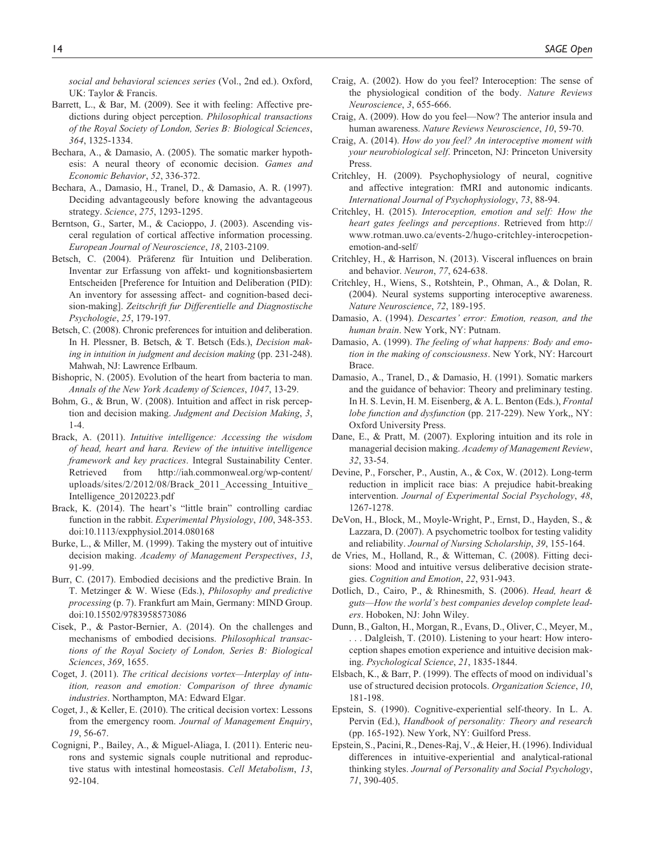*social and behavioral sciences series* (Vol., 2nd ed.). Oxford, UK: Taylor & Francis.

- Barrett, L., & Bar, M. (2009). See it with feeling: Affective predictions during object perception. *Philosophical transactions of the Royal Society of London, Series B: Biological Sciences*, *364*, 1325-1334.
- Bechara, A., & Damasio, A. (2005). The somatic marker hypothesis: A neural theory of economic decision. *Games and Economic Behavior*, *52*, 336-372.
- Bechara, A., Damasio, H., Tranel, D., & Damasio, A. R. (1997). Deciding advantageously before knowing the advantageous strategy. *Science*, *275*, 1293-1295.
- Berntson, G., Sarter, M., & Cacioppo, J. (2003). Ascending visceral regulation of cortical affective information processing. *European Journal of Neuroscience*, *18*, 2103-2109.
- Betsch, C. (2004). Präferenz für Intuition und Deliberation. Inventar zur Erfassung von affekt- und kognitionsbasiertem Entscheiden [Preference for Intuition and Deliberation (PID): An inventory for assessing affect- and cognition-based decision-making]. *Zeitschrift fur Differentielle and Diagnostische Psychologie*, *25*, 179-197.
- Betsch, C. (2008). Chronic preferences for intuition and deliberation. In H. Plessner, B. Betsch, & T. Betsch (Eds.), *Decision making in intuition in judgment and decision making* (pp. 231-248). Mahwah, NJ: Lawrence Erlbaum.
- Bishopric, N. (2005). Evolution of the heart from bacteria to man. *Annals of the New York Academy of Sciences*, *1047*, 13-29.
- Bohm, G., & Brun, W. (2008). Intuition and affect in risk perception and decision making. *Judgment and Decision Making*, *3*, 1-4.
- Brack, A. (2011). *Intuitive intelligence: Accessing the wisdom of head, heart and hara. Review of the intuitive intelligence framework and key practices*. Integral Sustainability Center. Retrieved from [http://iah.commonweal.org/wp-content/](http://iah.commonweal.org/wp-content/uploads/sites/2/2012/08/Brack_2011_Accessing_Intuitive_Intelligence_20120223.pdf) [uploads/sites/2/2012/08/Brack\\_2011\\_Accessing\\_Intuitive\\_](http://iah.commonweal.org/wp-content/uploads/sites/2/2012/08/Brack_2011_Accessing_Intuitive_Intelligence_20120223.pdf) [Intelligence\\_20120223.pdf](http://iah.commonweal.org/wp-content/uploads/sites/2/2012/08/Brack_2011_Accessing_Intuitive_Intelligence_20120223.pdf)
- Brack, K. (2014). The heart's "little brain" controlling cardiac function in the rabbit. *Experimental Physiology*, *100*, 348-353. doi:10.1113/expphysiol.2014.080168
- Burke, L., & Miller, M. (1999). Taking the mystery out of intuitive decision making. *Academy of Management Perspectives*, *13*, 91-99.
- Burr, C. (2017). Embodied decisions and the predictive Brain. In T. Metzinger & W. Wiese (Eds.), *Philosophy and predictive processing* (p. 7). Frankfurt am Main, Germany: MIND Group. doi:10.15502/9783958573086
- Cisek, P., & Pastor-Bernier, A. (2014). On the challenges and mechanisms of embodied decisions. *Philosophical transactions of the Royal Society of London, Series B: Biological Sciences*, *369*, 1655.
- Coget, J. (2011). *The critical decisions vortex—Interplay of intuition, reason and emotion: Comparison of three dynamic industries*. Northampton, MA: Edward Elgar.
- Coget, J., & Keller, E. (2010). The critical decision vortex: Lessons from the emergency room. *Journal of Management Enquiry*, *19*, 56-67.
- Cognigni, P., Bailey, A., & Miguel-Aliaga, I. (2011). Enteric neurons and systemic signals couple nutritional and reproductive status with intestinal homeostasis. *Cell Metabolism*, *13*, 92-104.
- Craig, A. (2002). How do you feel? Interoception: The sense of the physiological condition of the body. *Nature Reviews Neuroscience*, *3*, 655-666.
- Craig, A. (2009). How do you feel—Now? The anterior insula and human awareness. *Nature Reviews Neuroscience*, *10*, 59-70.
- Craig, A. (2014). *How do you feel? An interoceptive moment with your neurobiological self*. Princeton, NJ: Princeton University Press.
- Critchley, H. (2009). Psychophysiology of neural, cognitive and affective integration: fMRI and autonomic indicants. *International Journal of Psychophysiology*, *73*, 88-94.
- Critchley, H. (2015). *Interoception, emotion and self: How the heart gates feelings and perceptions*. Retrieved from [http://](http://www.rotman.uwo.ca/events-2/hugo-critchley-interocpetion-emotion-and-self/) [www.rotman.uwo.ca/events-2/hugo-critchley-interocpetion](http://www.rotman.uwo.ca/events-2/hugo-critchley-interocpetion-emotion-and-self/)[emotion-and-self/](http://www.rotman.uwo.ca/events-2/hugo-critchley-interocpetion-emotion-and-self/)
- Critchley, H., & Harrison, N. (2013). Visceral influences on brain and behavior. *Neuron*, *77*, 624-638.
- Critchley, H., Wiens, S., Rotshtein, P., Ohman, A., & Dolan, R. (2004). Neural systems supporting interoceptive awareness. *Nature Neuroscience*, *72*, 189-195.
- Damasio, A. (1994). *Descartes' error: Emotion, reason, and the human brain*. New York, NY: Putnam.
- Damasio, A. (1999). *The feeling of what happens: Body and emotion in the making of consciousness*. New York, NY: Harcourt Brace.
- Damasio, A., Tranel, D., & Damasio, H. (1991). Somatic markers and the guidance of behavior: Theory and preliminary testing. In H. S. Levin, H. M. Eisenberg, & A. L. Benton (Eds.), *Frontal lobe function and dysfunction* (pp. 217-229). New York,, NY: Oxford University Press.
- Dane, E., & Pratt, M. (2007). Exploring intuition and its role in managerial decision making. *Academy of Management Review*, *32*, 33-54.
- Devine, P., Forscher, P., Austin, A., & Cox, W. (2012). Long-term reduction in implicit race bias: A prejudice habit-breaking intervention. *Journal of Experimental Social Psychology*, *48*, 1267-1278.
- DeVon, H., Block, M., Moyle-Wright, P., Ernst, D., Hayden, S., & Lazzara, D. (2007). A psychometric toolbox for testing validity and reliability. *Journal of Nursing Scholarship*, *39*, 155-164.
- de Vries, M., Holland, R., & Witteman, C. (2008). Fitting decisions: Mood and intuitive versus deliberative decision strategies. *Cognition and Emotion*, *22*, 931-943.
- Dotlich, D., Cairo, P., & Rhinesmith, S. (2006). *Head, heart & guts—How the world's best companies develop complete leaders*. Hoboken, NJ: John Wiley.
- Dunn, B., Galton, H., Morgan, R., Evans, D., Oliver, C., Meyer, M., . . . Dalgleish, T. (2010). Listening to your heart: How interoception shapes emotion experience and intuitive decision making. *Psychological Science*, *21*, 1835-1844.
- Elsbach, K., & Barr, P. (1999). The effects of mood on individual's use of structured decision protocols. *Organization Science*, *10*, 181-198.
- Epstein, S. (1990). Cognitive-experiential self-theory. In L. A. Pervin (Ed.), *Handbook of personality: Theory and research* (pp. 165-192). New York, NY: Guilford Press.
- Epstein, S., Pacini, R., Denes-Raj, V., & Heier, H. (1996). Individual differences in intuitive-experiential and analytical-rational thinking styles. *Journal of Personality and Social Psychology*, *71*, 390-405.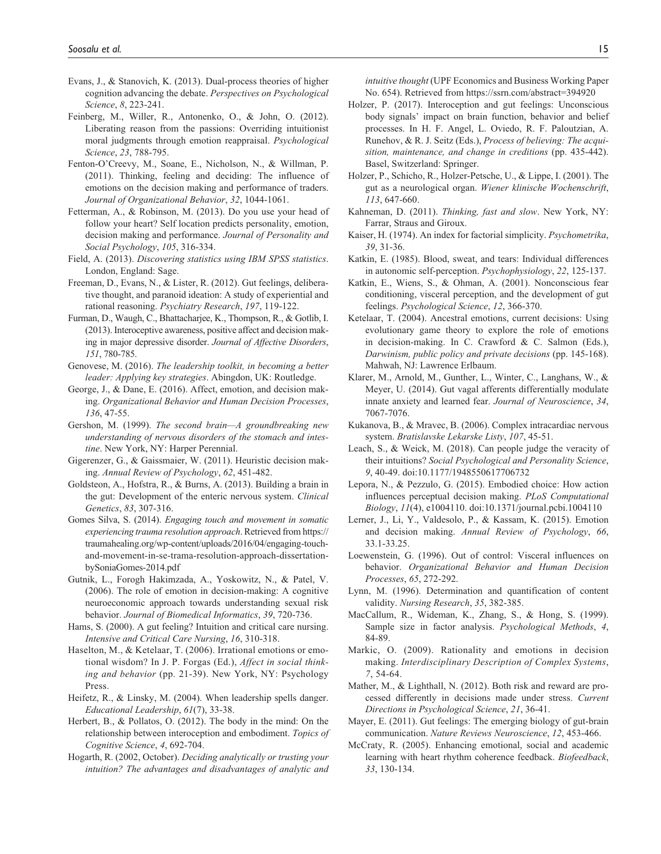- Evans, J., & Stanovich, K. (2013). Dual-process theories of higher cognition advancing the debate. *Perspectives on Psychological Science*, *8*, 223-241.
- Feinberg, M., Willer, R., Antonenko, O., & John, O. (2012). Liberating reason from the passions: Overriding intuitionist moral judgments through emotion reappraisal. *Psychological Science*, *23*, 788-795.
- Fenton-O'Creevy, M., Soane, E., Nicholson, N., & Willman, P. (2011). Thinking, feeling and deciding: The influence of emotions on the decision making and performance of traders. *Journal of Organizational Behavior*, *32*, 1044-1061.
- Fetterman, A., & Robinson, M. (2013). Do you use your head of follow your heart? Self location predicts personality, emotion, decision making and performance. *Journal of Personality and Social Psychology*, *105*, 316-334.
- Field, A. (2013). *Discovering statistics using IBM SPSS statistics*. London, England: Sage.
- Freeman, D., Evans, N., & Lister, R. (2012). Gut feelings, deliberative thought, and paranoid ideation: A study of experiential and rational reasoning. *Psychiatry Research*, *197*, 119-122.
- Furman, D., Waugh, C., Bhattacharjee, K., Thompson, R., & Gotlib, I. (2013). Interoceptive awareness, positive affect and decision making in major depressive disorder. *Journal of Affective Disorders*, *151*, 780-785.
- Genovese, M. (2016). *The leadership toolkit, in becoming a better leader: Applying key strategies*. Abingdon, UK: Routledge.
- George, J., & Dane, E. (2016). Affect, emotion, and decision making. *Organizational Behavior and Human Decision Processes*, *136*, 47-55.
- Gershon, M. (1999). *The second brain—A groundbreaking new understanding of nervous disorders of the stomach and intestine*. New York, NY: Harper Perennial.
- Gigerenzer, G., & Gaissmaier, W. (2011). Heuristic decision making. *Annual Review of Psychology*, *62*, 451-482.
- Goldsteon, A., Hofstra, R., & Burns, A. (2013). Building a brain in the gut: Development of the enteric nervous system. *Clinical Genetics*, *83*, 307-316.
- Gomes Silva, S. (2014). *Engaging touch and movement in somatic experiencing trauma resolution approach*. Retrieved from [https://](https://traumahealing.org/wp-content/uploads/2016/04/engaging-touch-and-movement-in-se-trama-resolution-approach-dissertation-bySoniaGomes-2014.pdf) [traumahealing.org/wp-content/uploads/2016/04/engaging-touch](https://traumahealing.org/wp-content/uploads/2016/04/engaging-touch-and-movement-in-se-trama-resolution-approach-dissertation-bySoniaGomes-2014.pdf)[and-movement-in-se-trama-resolution-approach-dissertation](https://traumahealing.org/wp-content/uploads/2016/04/engaging-touch-and-movement-in-se-trama-resolution-approach-dissertation-bySoniaGomes-2014.pdf)[bySoniaGomes-2014.pdf](https://traumahealing.org/wp-content/uploads/2016/04/engaging-touch-and-movement-in-se-trama-resolution-approach-dissertation-bySoniaGomes-2014.pdf)
- Gutnik, L., Forogh Hakimzada, A., Yoskowitz, N., & Patel, V. (2006). The role of emotion in decision-making: A cognitive neuroeconomic approach towards understanding sexual risk behavior. *Journal of Biomedical Informatics*, *39*, 720-736.
- Hams, S. (2000). A gut feeling? Intuition and critical care nursing. *Intensive and Critical Care Nursing*, *16*, 310-318.
- Haselton, M., & Ketelaar, T. (2006). Irrational emotions or emotional wisdom? In J. P. Forgas (Ed.), *Affect in social thinking and behavior* (pp. 21-39). New York, NY: Psychology Press.
- Heifetz, R., & Linsky, M. (2004). When leadership spells danger. *Educational Leadership*, *61*(7), 33-38.
- Herbert, B., & Pollatos, O. (2012). The body in the mind: On the relationship between interoception and embodiment. *Topics of Cognitive Science*, *4*, 692-704.
- Hogarth, R. (2002, October). *Deciding analytically or trusting your intuition? The advantages and disadvantages of analytic and*

*intuitive thought* (UPF Economics and Business Working Paper No. 654). Retrieved from <https://ssrn.com/abstract=394920>

- Holzer, P. (2017). Interoception and gut feelings: Unconscious body signals' impact on brain function, behavior and belief processes. In H. F. Angel, L. Oviedo, R. F. Paloutzian, A. Runehov, & R. J. Seitz (Eds.), *Process of believing: The acquisition, maintenance, and change in creditions* (pp. 435-442). Basel, Switzerland: Springer.
- Holzer, P., Schicho, R., Holzer-Petsche, U., & Lippe, I. (2001). The gut as a neurological organ. *Wiener klinische Wochenschrift*, *113*, 647-660.
- Kahneman, D. (2011). *Thinking, fast and slow*. New York, NY: Farrar, Straus and Giroux.
- Kaiser, H. (1974). An index for factorial simplicity. *Psychometrika*, *39*, 31-36.
- Katkin, E. (1985). Blood, sweat, and tears: Individual differences in autonomic self-perception. *Psychophysiology*, *22*, 125-137.
- Katkin, E., Wiens, S., & Ohman, A. (2001). Nonconscious fear conditioning, visceral perception, and the development of gut feelings. *Psychological Science*, *12*, 366-370.
- Ketelaar, T. (2004). Ancestral emotions, current decisions: Using evolutionary game theory to explore the role of emotions in decision-making. In C. Crawford & C. Salmon (Eds.), *Darwinism, public policy and private decisions* (pp. 145-168). Mahwah, NJ: Lawrence Erlbaum.
- Klarer, M., Arnold, M., Gunther, L., Winter, C., Langhans, W., & Meyer, U. (2014). Gut vagal afferents differentially modulate innate anxiety and learned fear. *Journal of Neuroscience*, *34*, 7067-7076.
- Kukanova, B., & Mravec, B. (2006). Complex intracardiac nervous system. *Bratislavske Lekarske Listy*, *107*, 45-51.
- Leach, S., & Weick, M. (2018). Can people judge the veracity of their intuitions? *Social Psychological and Personality Science*, *9*, 40-49. doi:10.1177/1948550617706732
- Lepora, N., & Pezzulo, G. (2015). Embodied choice: How action influences perceptual decision making. *PLoS Computational Biology*, *11*(4), e1004110. doi:10.1371/journal.pcbi.1004110
- Lerner, J., Li, Y., Valdesolo, P., & Kassam, K. (2015). Emotion and decision making. *Annual Review of Psychology*, *66*, 33.1-33.25.
- Loewenstein, G. (1996). Out of control: Visceral influences on behavior. *Organizational Behavior and Human Decision Processes*, *65*, 272-292.
- Lynn, M. (1996). Determination and quantification of content validity. *Nursing Research*, *35*, 382-385.
- MacCallum, R., Wideman, K., Zhang, S., & Hong, S. (1999). Sample size in factor analysis. *Psychological Methods*, *4*, 84-89.
- Markic, O. (2009). Rationality and emotions in decision making. *Interdisciplinary Description of Complex Systems*, *7*, 54-64.
- Mather, M., & Lighthall, N. (2012). Both risk and reward are processed differently in decisions made under stress. *Current Directions in Psychological Science*, *21*, 36-41.
- Mayer, E. (2011). Gut feelings: The emerging biology of gut-brain communication. *Nature Reviews Neuroscience*, *12*, 453-466.
- McCraty, R. (2005). Enhancing emotional, social and academic learning with heart rhythm coherence feedback. *Biofeedback*, *33*, 130-134.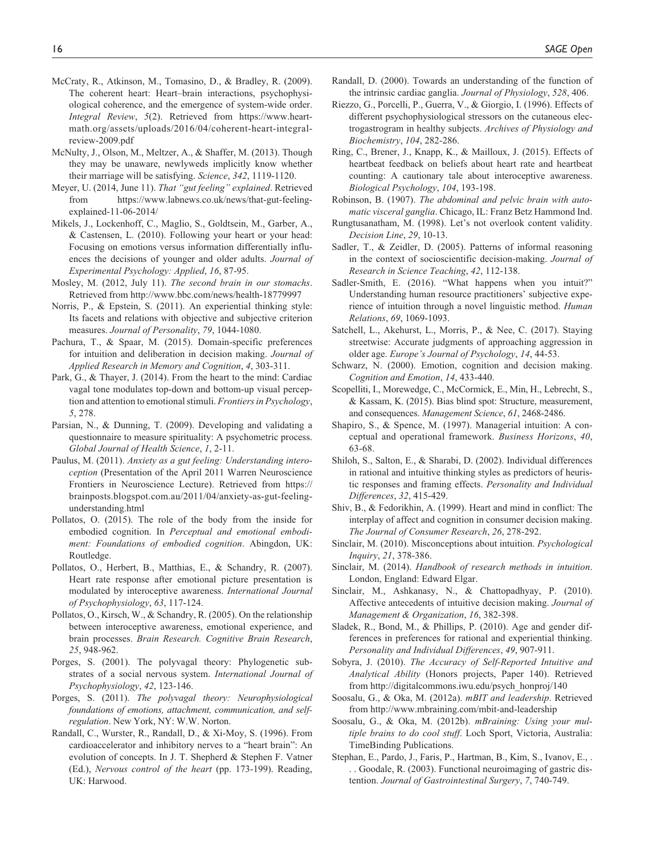- McCraty, R., Atkinson, M., Tomasino, D., & Bradley, R. (2009). The coherent heart: Heart–brain interactions, psychophysiological coherence, and the emergence of system-wide order. *Integral Review*, *5*(2). Retrieved from [https://www.heart](https://www.heartmath.org/assets/uploads/2016/04/coherent-heart-integral-review-2009.pdf)[math.org/assets/uploads/2016/04/coherent-heart-integral](https://www.heartmath.org/assets/uploads/2016/04/coherent-heart-integral-review-2009.pdf)[review-2009.pdf](https://www.heartmath.org/assets/uploads/2016/04/coherent-heart-integral-review-2009.pdf)
- McNulty, J., Olson, M., Meltzer, A., & Shaffer, M. (2013). Though they may be unaware, newlyweds implicitly know whether their marriage will be satisfying. *Science*, *342*, 1119-1120.
- Meyer, U. (2014, June 11). *That "gut feeling" explained*. Retrieved from [https://www.labnews.co.uk/news/that-gut-feeling](https://www.labnews.co.uk/news/that-gut-feeling-explained-11-06-2014/)[explained-11-06-2014/](https://www.labnews.co.uk/news/that-gut-feeling-explained-11-06-2014/)
- Mikels, J., Lockenhoff, C., Maglio, S., Goldtsein, M., Garber, A., & Castensen, L. (2010). Following your heart or your head: Focusing on emotions versus information differentially influences the decisions of younger and older adults. *Journal of Experimental Psychology: Applied*, *16*, 87-95.
- Mosley, M. (2012, July 11). *The second brain in our stomachs*. Retrieved from <http://www.bbc.com/news/health-18779997>
- Norris, P., & Epstein, S. (2011). An experiential thinking style: Its facets and relations with objective and subjective criterion measures. *Journal of Personality*, *79*, 1044-1080.
- Pachura, T., & Spaar, M. (2015). Domain-specific preferences for intuition and deliberation in decision making. *Journal of Applied Research in Memory and Cognition*, *4*, 303-311.
- Park, G., & Thayer, J. (2014). From the heart to the mind: Cardiac vagal tone modulates top-down and bottom-up visual perception and attention to emotional stimuli. *Frontiers in Psychology*, *5*, 278.
- Parsian, N., & Dunning, T. (2009). Developing and validating a questionnaire to measure spirituality: A psychometric process. *Global Journal of Health Science*, *1*, 2-11.
- Paulus, M. (2011). *Anxiety as a gut feeling: Understanding interoception* (Presentation of the April 2011 Warren Neuroscience Frontiers in Neuroscience Lecture). Retrieved from [https://](https://brainposts.blogspot.com.au/2011/04/anxiety-as-gut-feeling-understanding.html) [brainposts.blogspot.com.au/2011/04/anxiety-as-gut-feeling](https://brainposts.blogspot.com.au/2011/04/anxiety-as-gut-feeling-understanding.html)[understanding.html](https://brainposts.blogspot.com.au/2011/04/anxiety-as-gut-feeling-understanding.html)
- Pollatos, O. (2015). The role of the body from the inside for embodied cognition. In *Perceptual and emotional embodiment: Foundations of embodied cognition*. Abingdon, UK: Routledge.
- Pollatos, O., Herbert, B., Matthias, E., & Schandry, R. (2007). Heart rate response after emotional picture presentation is modulated by interoceptive awareness. *International Journal of Psychophysiology*, *63*, 117-124.
- Pollatos, O., Kirsch, W., & Schandry, R. (2005). On the relationship between interoceptive awareness, emotional experience, and brain processes. *Brain Research. Cognitive Brain Research*, *25*, 948-962.
- Porges, S. (2001). The polyvagal theory: Phylogenetic substrates of a social nervous system. *International Journal of Psychophysiology*, *42*, 123-146.
- Porges, S. (2011). *The polyvagal theory: Neurophysiological foundations of emotions, attachment, communication, and selfregulation*. New York, NY: W.W. Norton.
- Randall, C., Wurster, R., Randall, D., & Xi-Moy, S. (1996). From cardioaccelerator and inhibitory nerves to a "heart brain": An evolution of concepts. In J. T. Shepherd & Stephen F. Vatner (Ed.), *Nervous control of the heart* (pp. 173-199). Reading, UK: Harwood.
- Randall, D. (2000). Towards an understanding of the function of the intrinsic cardiac ganglia. *Journal of Physiology*, *528*, 406.
- Riezzo, G., Porcelli, P., Guerra, V., & Giorgio, I. (1996). Effects of different psychophysiological stressors on the cutaneous electrogastrogram in healthy subjects. *Archives of Physiology and Biochemistry*, *104*, 282-286.
- Ring, C., Brener, J., Knapp, K., & Mailloux, J. (2015). Effects of heartbeat feedback on beliefs about heart rate and heartbeat counting: A cautionary tale about interoceptive awareness. *Biological Psychology*, *104*, 193-198.
- Robinson, B. (1907). *The abdominal and pelvic brain with automatic visceral ganglia*. Chicago, IL: Franz Betz Hammond Ind.
- Rungtusanatham, M. (1998). Let's not overlook content validity. *Decision Line*, *29*, 10-13.
- Sadler, T., & Zeidler, D. (2005). Patterns of informal reasoning in the context of socioscientific decision-making. *Journal of Research in Science Teaching*, *42*, 112-138.
- Sadler-Smith, E. (2016). "What happens when you intuit?" Understanding human resource practitioners' subjective experience of intuition through a novel linguistic method. *Human Relations*, *69*, 1069-1093.
- Satchell, L., Akehurst, L., Morris, P., & Nee, C. (2017). Staying streetwise: Accurate judgments of approaching aggression in older age. *Europe's Journal of Psychology*, *14*, 44-53.
- Schwarz, N. (2000). Emotion, cognition and decision making. *Cognition and Emotion*, *14*, 433-440.
- Scopelliti, I., Morewedge, C., McCormick, E., Min, H., Lebrecht, S., & Kassam, K. (2015). Bias blind spot: Structure, measurement, and consequences. *Management Science*, *61*, 2468-2486.
- Shapiro, S., & Spence, M. (1997). Managerial intuition: A conceptual and operational framework. *Business Horizons*, *40*, 63-68.
- Shiloh, S., Salton, E., & Sharabi, D. (2002). Individual differences in rational and intuitive thinking styles as predictors of heuristic responses and framing effects. *Personality and Individual Differences*, *32*, 415-429.
- Shiv, B., & Fedorikhin, A. (1999). Heart and mind in conflict: The interplay of affect and cognition in consumer decision making. *The Journal of Consumer Research*, *26*, 278-292.
- Sinclair, M. (2010). Misconceptions about intuition. *Psychological Inquiry*, *21*, 378-386.
- Sinclair, M. (2014). *Handbook of research methods in intuition*. London, England: Edward Elgar.
- Sinclair, M., Ashkanasy, N., & Chattopadhyay, P. (2010). Affective antecedents of intuitive decision making. *Journal of Management & Organization*, *16*, 382-398.
- Sladek, R., Bond, M., & Phillips, P. (2010). Age and gender differences in preferences for rational and experiential thinking. *Personality and Individual Differences*, *49*, 907-911.
- Sobyra, J. (2010). *The Accuracy of Self-Reported Intuitive and Analytical Ability* (Honors projects, Paper 140). Retrieved from [http://digitalcommons.iwu.edu/psych\\_honproj/140](http://digitalcommons.iwu.edu/psych_honproj/140)
- Soosalu, G., & Oka, M. (2012a). *mBIT and leadership*. Retrieved from<http://www.mbraining.com/mbit-and-leadership>
- Soosalu, G., & Oka, M. (2012b). *mBraining: Using your multiple brains to do cool stuff*. Loch Sport, Victoria, Australia: TimeBinding Publications.
- Stephan, E., Pardo, J., Faris, P., Hartman, B., Kim, S., Ivanov, E., . . . Goodale, R. (2003). Functional neuroimaging of gastric distention. *Journal of Gastrointestinal Surgery*, *7*, 740-749.